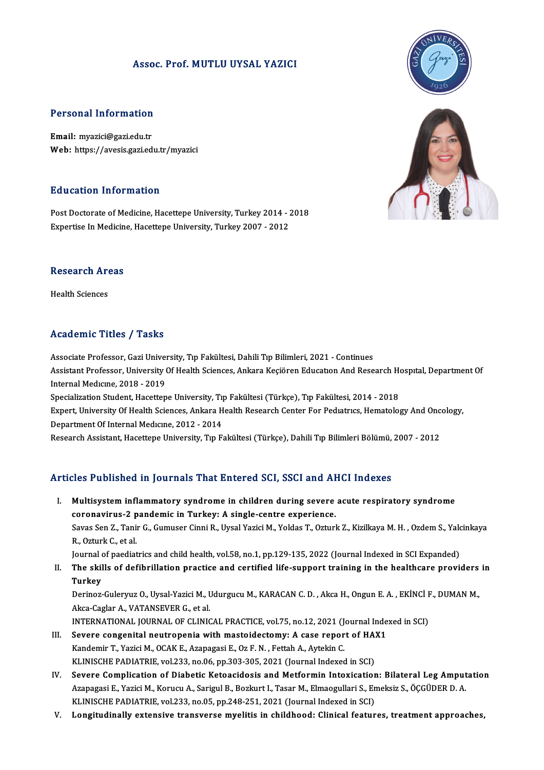#### Assoc. Prof.MUTLU UYSAL YAZICI



Personal Information<br>Email: myazici@gazi.edu.tr<br>Web: https://avasis.comiad Email: myazici@gazi.edu.tr<br>Web: https://avesis.gazi.edu.tr/myazici

#### Education Information

**Education Information<br>Post Doctorate of Medicine, Hacettepe University, Turkey 2014 - 2018<br>Expertise In Medicine, Hacettepe University, Turkey 2007 - 2012** Eu d'eacrem Thret Macren<br>Post Doctorate of Medicine, Hacettepe University, Turkey 2014 - 2<br>Expertise In Medicine, Hacettepe University, Turkey 2007 - 2012

## .<br>Research Areas R<mark>esearch Ar</mark><br>Health Sciences

# Academic Titles / Tasks

Academic Titles / Tasks<br>Associate Professor, Gazi University, Tıp Fakültesi, Dahili Tıp Bilimleri, 2021 - Continues<br>Assistant Professor, University Of Health Sciences, Ankara Kasiğren Education And Bese Associate Professor, Gazi University, Tıp Fakültesi, Dahili Tıp Bilimleri, 2021 - Continues<br>Assistant Professor, Gazi University, Tıp Fakültesi, Dahili Tıp Bilimleri, 2021 - Continues<br>Internal Modisme, 2018, ...2019 Associate Professor, Gazi Univer<br>Assistant Professor, University (<br>Internal Medicine, 2018 - 2019<br>Specialization Student Hecetten Assistant Professor, University Of Health Sciences, Ankara Keçiören Education And Research Holder († 1915)<br>Internal Medicine, 2018 - 2019<br>Specialization Student, Hacettepe University, Tıp Fakültesi (Türkçe), Tıp Fakültesi, Internal Medicine, 2018 - 2019<br>Specialization Student, Hacettepe University, Tip Fakültesi (Türkçe), Tip Fakültesi, 2014 - 2018<br>Expert, University Of Health Sciences, Ankara Health Research Center For Pediatrics, Hematolog Department Of Internal Medicine, 2012 - 2014

Research Assistant, Hacettepe University, Tıp Fakültesi (Türkçe), Dahili Tıp Bilimleri Bölümü, 2007 - 2012

#### Articles Published in Journals That Entered SCI, SSCI and AHCI Indexes

I. Multisysteminflammatory syndrome in children during severe acute respiratory syndrome multisystem inflammatory syndrome in children during severe<br>coronavirus-2 pandemic in Turkey: A single-centre experience.<br>Savas San 7, Tanir C. Cumusar Cinni B. Uvgal Variei M. Valdas T. Orturl Multisystem inflammatory syndrome in children during severe acute respiratory syndrome<br>coronavirus-2 pandemic in Turkey: A single-centre experience.<br>Savas Sen Z., Tanir G., Gumuser Cinni R., Uysal Yazici M., Yoldas T., Ozt coronavirus-2 p<br>Savas Sen Z., Tani<br>R., Ozturk C., et al.<br>Journal of naodiat Savas Sen Z., Tanir G., Gumuser Cinni R., Uysal Yazici M., Yoldas T., Ozturk Z., Kizilkaya M. H. , Ozdem S., Yald<br>R., Ozturk C., et al.<br>Journal of paediatrics and child health, vol.58, no.1, pp.129-135, 2022 (Journal Index R., Ozturk C., et al.<br>Journal of paediatrics and child health, vol.58, no.1, pp.129-135, 2022 (Journal Indexed in SCI Expanded)<br>II. The skills of defibrillation practice and certified life-support training in the healt

## Journal<br><mark>The skil</mark><br>Turkey The skills of defibrillation practice and certified life-support training in the healthcare providers<br>Turkey<br>Derinoz-Guleryuz O., Uysal-Yazici M., Udurgucu M., KARACAN C. D. , Akca H., Ongun E. A. , EKİNCİ F., DUMAN M.,

Turkey<br>Derinoz-Guleryuz O., Uysal-Yazici M., l<br>Akca-Caglar A., VATANSEVER G., et al.<br>INTERNATIONAL JOURNAL OE CLINIC Derinoz-Guleryuz O., Uysal-Yazici M., Udurgucu M., KARACAN C. D. , Akca H., Ongun E. A. , EKİNCİ F<br>Akca-Caglar A., VATANSEVER G., et al.<br>INTERNATIONAL JOURNAL OF CLINICAL PRACTICE, vol.75, no.12, 2021 (Journal Indexed in S

- Akca-Caglar A., VATANSEVER G., et al.<br>INTERNATIONAL JOURNAL OF CLINICAL PRACTICE, vol.75, no.12, 2021 (Journal Inde<br>III. Severe congenital neutropenia with mastoidectomy: A case report of HAX1<br>Kandamir T. Varisi M. OCAK E. INTERNATIONAL JOURNAL OF CLINICAL PRACTICE, vol.75, no.12, 2021 (J. Severe congenital neutropenia with mastoidectomy: A case repor<br>Kandemir T., Yazici M., OCAK E., Azapagasi E., Oz F. N. , Fettah A., Aytekin C.<br>KLINISCHE B Severe congenital neutropenia with mastoidectomy: A case report of HAI<br>Kandemir T., Yazici M., OCAK E., Azapagasi E., Oz F. N. , Fettah A., Aytekin C.<br>KLINISCHE PADIATRIE, vol.233, no.06, pp.303-305, 2021 (Journal Indexed Kandemir T., Yazici M., OCAK E., Azapagasi E., Oz F. N. , Fettah A., Aytekin C.<br>KLINISCHE PADIATRIE, vol.233, no.06, pp.303-305, 2021 (Journal Indexed in SCI)<br>IV. Severe Complication of Diabetic Ketoacidosis and Metformin
- KLINISCHE PADIATRIE, vol.233, no.06, pp.303-305, 2021 (Journal Indexed in SCI)<br>Severe Complication of Diabetic Ketoacidosis and Metformin Intoxication: Bilateral Leg Amput<br>Azapagasi E., Yazici M., Korucu A., Sarigul B., Bo Severe Complication of Diabetic Ketoacidosis and Metformin Intoxication<br>Azapagasi E., Yazici M., Korucu A., Sarigul B., Bozkurt I., Tasar M., Elmaogullari S., En<br>KLINISCHE PADIATRIE, vol.233, no.05, pp.248-251, 2021 (Journ Azapagasi E., Yazici M., Korucu A., Sarigul B., Bozkurt I., Tasar M., Elmaogullari S., Emeksiz S., ÖÇGÜDER D. A.<br>KLINISCHE PADIATRIE, vol.233, no.05, pp.248-251, 2021 (Journal Indexed in SCI)<br>V. Longitudinally extensiv
- 



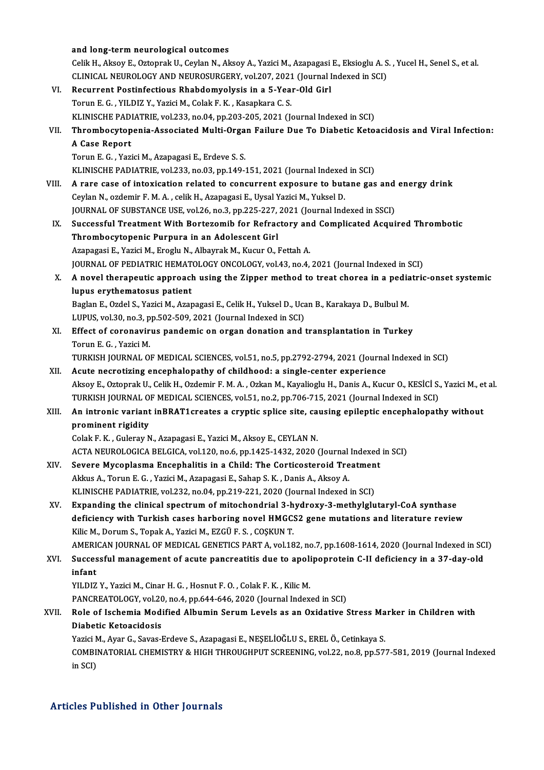|       | and long-term neurological outcomes                                                                                          |
|-------|------------------------------------------------------------------------------------------------------------------------------|
|       | Celik H., Aksoy E., Oztoprak U., Ceylan N., Aksoy A., Yazici M., Azapagasi E., Eksioglu A. S., Yucel H., Senel S., et al.    |
|       | CLINICAL NEUROLOGY AND NEUROSURGERY, vol.207, 2021 (Journal Indexed in SCI)                                                  |
| VI.   | Recurrent Postinfectious Rhabdomyolysis in a 5-Year-Old Girl                                                                 |
|       | Torun E. G., YILDIZ Y., Yazici M., Colak F. K., Kasapkara C. S.                                                              |
|       | KLINISCHE PADIATRIE, vol.233, no.04, pp.203-205, 2021 (Journal Indexed in SCI)                                               |
| VII.  | Thrombocytopenia-Associated Multi-Organ Failure Due To Diabetic Ketoacidosis and Viral Infection:                            |
|       | A Case Report                                                                                                                |
|       | Torun E. G., Yazici M., Azapagasi E., Erdeve S. S.                                                                           |
|       | KLINISCHE PADIATRIE, vol.233, no.03, pp.149-151, 2021 (Journal Indexed in SCI)                                               |
| VIII. | A rare case of intoxication related to concurrent exposure to butane gas and energy drink                                    |
|       | Ceylan N., ozdemir F. M. A., celik H., Azapagasi E., Uysal Yazici M., Yuksel D.                                              |
|       | JOURNAL OF SUBSTANCE USE, vol.26, no.3, pp.225-227, 2021 (Journal Indexed in SSCI)                                           |
| IX.   | Successful Treatment With Bortezomib for Refractory and Complicated Acquired Thrombotic                                      |
|       | Thrombocytopenic Purpura in an Adolescent Girl                                                                               |
|       | Azapagasi E., Yazici M., Eroglu N., Albayrak M., Kucur O., Fettah A.                                                         |
|       | JOURNAL OF PEDIATRIC HEMATOLOGY ONCOLOGY, vol.43, no.4, 2021 (Journal Indexed in SCI)                                        |
| Χ.    | A novel therapeutic approach using the Zipper method to treat chorea in a pediatric-onset systemic                           |
|       | lupus erythematosus patient                                                                                                  |
|       | Baglan E., Ozdel S., Yazici M., Azapagasi E., Celik H., Yuksel D., Ucan B., Karakaya D., Bulbul M.                           |
|       | LUPUS, vol.30, no.3, pp.502-509, 2021 (Journal Indexed in SCI)                                                               |
| XI.   | Effect of coronavirus pandemic on organ donation and transplantation in Turkey                                               |
|       | Torun E. G., Yazici M.                                                                                                       |
|       | TURKISH JOURNAL OF MEDICAL SCIENCES, vol.51, no.5, pp.2792-2794, 2021 (Journal Indexed in SCI)                               |
| XII.  | Acute necrotizing encephalopathy of childhood: a single-center experience                                                    |
|       | Aksoy E., Oztoprak U., Celik H., Ozdemir F. M. A., Ozkan M., Kayalioglu H., Danis A., Kucur O., KESİCİ S., Yazici M., et al. |
|       | TURKISH JOURNAL OF MEDICAL SCIENCES, vol.51, no.2, pp.706-715, 2021 (Journal Indexed in SCI)                                 |
| XIII. | An intronic variant inBRAT1creates a cryptic splice site, causing epileptic encephalopathy without                           |
|       | prominent rigidity                                                                                                           |
|       | Colak F. K., Guleray N., Azapagasi E., Yazici M., Aksoy E., CEYLAN N.                                                        |
|       | ACTA NEUROLOGICA BELGICA, vol.120, no.6, pp.1425-1432, 2020 (Journal Indexed in SCI)                                         |
| XIV.  | Severe Mycoplasma Encephalitis in a Child: The Corticosteroid Treatment                                                      |
|       | Akkus A., Torun E. G., Yazici M., Azapagasi E., Sahap S. K., Danis A., Aksoy A.                                              |
|       | KLINISCHE PADIATRIE, vol.232, no.04, pp.219-221, 2020 (Journal Indexed in SCI)                                               |
| XV.   | Expanding the clinical spectrum of mitochondrial 3-hydroxy-3-methylglutaryl-CoA synthase                                     |
|       | deficiency with Turkish cases harboring novel HMGCS2 gene mutations and literature review                                    |
|       | Kilic M., Dorum S., Topak A., Yazici M., EZGÜ F. S., COȘKUN T.                                                               |
|       | AMERICAN JOURNAL OF MEDICAL GENETICS PART A, vol.182, no.7, pp.1608-1614, 2020 (Journal Indexed in SCI)                      |
| XVI.  | Successful management of acute pancreatitis due to apolipoprotein C-II deficiency in a 37-day-old                            |
|       | infant                                                                                                                       |
|       | YILDIZ Y., Yazici M., Cinar H. G., Hosnut F. O., Colak F. K., Kilic M.                                                       |
|       | PANCREATOLOGY, vol.20, no.4, pp.644-646, 2020 (Journal Indexed in SCI)                                                       |
| XVII. | Role of Ischemia Modified Albumin Serum Levels as an Oxidative Stress Marker in Children with                                |
|       | Diabetic Ketoacidosis                                                                                                        |
|       | Yazici M., Ayar G., Savas-Erdeve S., Azapagasi E., NEȘELİOĞLU S., EREL Ö., Cetinkaya S.                                      |
|       | COMBINATORIAL CHEMISTRY & HIGH THROUGHPUT SCREENING, vol.22, no.8, pp.577-581, 2019 (Journal Indexed                         |
|       | in SCI)                                                                                                                      |
|       |                                                                                                                              |

#### Articles Published in Other Journals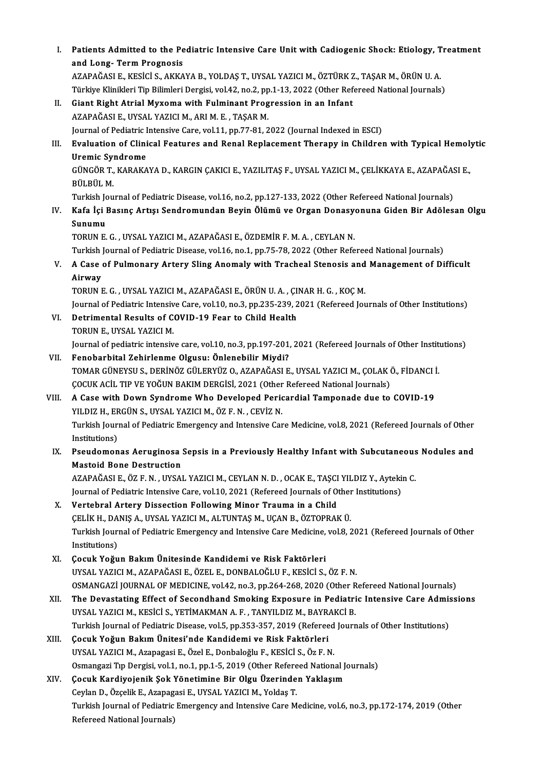I. Patients Admitted to the Pediatric Intensive Care Unitwith Cadiogenic Shock: Etiology, Treatment Patients Admitted to the Pe<br>and Long- Term Prognosis<br>AZAPAČASLE VESICIS AVVA and Long- Term Prognosis<br>AZAPAĞASI E., KESİCİ S., AKKAYA B., YOLDAS T., UYSAL YAZICI M., ÖZTÜRK Z., TASAR M., ÖRÜN U. A. and Long- Term Prognosis<br>AZAPAĞASI E., KESİCİ S., AKKAYA B., YOLDAŞ T., UYSAL YAZICI M., ÖZTÜRK Z., TAŞAR M., ÖRÜN U. A.<br>Türkiye Klinikleri Tip Bilimleri Dergisi, vol.42, no.2, pp.1-13, 2022 (Other Refereed National Journa II. Giant Right Atrial Myxoma with Fulminant Progression in an Infant AZAPAĞASI E., UYSAL YAZICI M., ARI M. E., TAŞAR M. Türkiye Klinikleri Tip Bilimleri Dergisi, vol.42, no.2, pp<br>Giant Right Atrial Myxoma with Fulminant Prog<br>AZAPAĞASI E., UYSAL YAZICI M., ARI M. E. , TAŞAR M.<br>Journal of Bodiatric Intensive Care vol.1.1, pp.77, 81–2 Giant Right Atrial Myxoma with Fulminant Progression in an Infant<br>AZAPAĞASI E., UYSAL YAZICI M., ARI M. E. , TAŞAR M.<br>Journal of Pediatric Intensive Care, vol.11, pp.77-81, 2022 (Journal Indexed in ESCI)<br>Evaluation of Clin III. Evaluation of Clinical Features and Renal Replacement Therapy in Children with Typical Hemolytic<br>Uremic Syndrome Journal of Pediatric I<br><mark>Evaluation of Clini</mark><br>Uremic Syndrome<br>C<sup>incop</sup> T, KARAKA Evaluation of Clinical Features and Renal Replacement Therapy in Children with Typical Hemol:<br>Uremic Syndrome<br>GÜNGÖR T., KARAKAYA D., KARGIN ÇAKICI E., YAZILITAŞ F., UYSAL YAZICI M., ÇELİKKAYA E., AZAPAĞASI E.,<br>PÜLPÜL M <mark>Uremic Sy</mark>ı<br>GÜNGÖR T.,<br>BÜLBÜL M.<br>Turkish Lev GÜNGÖR T., KARAKAYA D., KARGIN ÇAKICI E., YAZILITAŞ F., UYSAL YAZICI M., ÇELİKKAYA E., AZAPAĞAS<br>BÜLBÜL M.<br>Turkish Journal of Pediatric Disease, vol.16, no.2, pp.127-133, 2022 (Other Refereed National Journals)<br>Kafa İsi Bas BÜLBÜL M.<br>Turkish Journal of Pediatric Disease, vol.16, no.2, pp.127-133, 2022 (Other Refereed National Journals)<br>IV. Kafa İçi Basınç Artışı Sendromundan Beyin Ölümü ve Organ Donasyonuna Giden Bir Adölesan Olgu<br>Sunumu Turkish Jo<br><mark>Kafa İçi</mark> I<br>Sunumu<br>TOPUN E Sunumu<br>TORUN E. G. , UYSAL YAZICI M., AZAPAĞASI E., ÖZDEMİR F. M. A. , CEYLAN N. Turkish Journal of Pediatric Disease, vol.16, no.1, pp.75-78, 2022 (Other Refereed National Journals) TORUN E. G. , UYSAL YAZICI M., AZAPAĞASI E., ÖZDEMİR F. M. A. , CEYLAN N.<br>Turkish Journal of Pediatric Disease, vol.16, no.1, pp.75-78, 2022 (Other Refereed National Journals)<br>V. A Case of Pulmonary Artery Sling Anomal Turkish<br>**A Case**<br>Airway<br>TOPUN I A Case of Pulmonary Artery Sling Anomaly with Tracheal Stenosis and<br>Airway<br>TORUN E. G. , UYSAL YAZICI M., AZAPAĞASI E., ÖRÜN U. A. , ÇINAR H. G. , KOÇ M.<br>Journal of Bodistria Intensive Care val 10, ne 2, np 225, 220, 2021 Airway<br>TORUN E. G. , UYSAL YAZICI M., AZAPAĞASI E., ÖRÜN U. A. , ÇINAR H. G. , KOÇ M.<br>Journal of Pediatric Intensive Care, vol.10, no.3, pp.235-239, 2021 (Refereed Journals of Other Institutions)<br>Petrimental Results of COV TORUN E. G., UYSAL YAZICI M., AZAPAĞASI E., ÖRÜN U. A., ÇI<br>Journal of Pediatric Intensive Care, vol.10, no.3, pp.235-239, 2<br>VI. Detrimental Results of COVID-19 Fear to Child Health<br>TOPUN E. UYSAL YAZICI M Journal of Pediatric Intensiv<br>Detrimental Results of C<br>TORUN E., UYSAL YAZICI M.<br>Journal of pediatric intensiv Detrimental Results of COVID-19 Fear to Child Health<br>TORUN E., UYSAL YAZICI M.<br>Journal of pediatric intensive care, vol.10, no.3, pp.197-201, 2021 (Refereed Journals of Other Institutions)<br>Fenaharhital Zahirlanma Olgusu: Ö TORUN E., UYSAL YAZICI M.<br>Journal of pediatric intensive care, vol.10, no.3, pp.197-201, 2021 (Refereed Journals of Other Institenme Olgusu: Önlenebilir Miydi?<br>TOMAR GÜNEYSU S., DERİNÖZ GÜLERYÜZ O., AZAPAĞASI E., UYSAL YAZ Journal of pediatric intensive care, vol.10, no.3, pp.197-201, 2021 (Refereed Journals of Other Institute of P<br>Fenobarbital Zehirlenme Olgusu: Önlenebilir Miydi?<br>TOMAR GÜNEYSU S., DERİNÖZ GÜLERYÜZ O., AZAPAĞASI E., UYSAL Y Fenobarbital Zehirlenme Olgusu: Önlenebilir Miydi?<br>TOMAR GÜNEYSU S., DERİNÖZ GÜLERYÜZ O., AZAPAĞASI E., UYSAL YAZICI M., ÇOLAK (<br>ÇOCUK ACİL TIP VE YOĞUN BAKIM DERGİSİ, 2021 (Other Refereed National Journals)<br>A Gase with Do VIII. A Case with Down Syndrome Who Developed Pericardial Tamponade due to COVID-19<br>YILDIZ H., ERGÜN S., UYSAL YAZICI M., ÖZ F. N., CEVİZ N. ÇOCUK ACİL TIP VE YOĞUN BAKIM DERGİSİ, 2021 (Other<br>A Case with Down Syndrome Who Developed Peric<br>YILDIZ H., ERGÜN S., UYSAL YAZICI M., ÖZ F. N. , CEVİZ N.<br>Turkich Journal of Bodistris Emergengu and Intensive Car A Case with Down Syndrome Who Developed Pericardial Tamponade due to COVID-19<br>YILDIZ H., ERGÜN S., UYSAL YAZICI M., ÖZ F. N. , CEVİZ N.<br>Turkish Journal of Pediatric Emergency and Intensive Care Medicine, vol.8, 2021 (Refer YILDIZ H., ER<br>Turkish Jouri<br>Institutions)<br>Beaudaman Turkish Journal of Pediatric Emergency and Intensive Care Medicine, vol.8, 2021 (Refereed Journals of Other<br>IX. Pseudomonas Aeruginosa Sepsis in a Previously Healthy Infant with Subcutaneous Nodules and<br>Mastaid Bana Destru Institutions)<br>IX. Pseudomonas Aeruginosa Sepsis in a Previously Healthy Infant with Subcutaneous Nodules and<br>Mastoid Bone Destruction Pseudomonas Aeruginosa Sepsis in a Previously Healthy Infant with Subcutaneous<br>Mastoid Bone Destruction<br>AZAPAĞASI E., ÖZ F.N. , UYSAL YAZICI M., CEYLAN N.D. , OCAK E., TAŞCI YILDIZ Y., Aytekin C.<br>Journal of Bedistria Inten Mastoid Bone Destruction<br>AZAPAĞASI E., ÖZ F. N. , UYSAL YAZICI M., CEYLAN N. D. , OCAK E., TAŞCI YILDIZ Y., Ayteki:<br>Journal of Pediatric Intensive Care, vol.10, 2021 (Refereed Journals of Other Institutions)<br>Vertehral Arto AZAPAĞASI E., ÖZ F. N., UYSAL YAZICI M., CEYLAN N. D., OCAK E., TAŞCI<br>Journal of Pediatric Intensive Care, vol.10, 2021 (Refereed Journals of O.<br>X. Vertebral Artery Dissection Following Minor Trauma in a Child<br>CELIZ H. DAN Journal of Pediatric Intensive Care, vol.10, 2021 (Refereed Journals of Other<br>Vertebral Artery Dissection Following Minor Trauma in a Child<br>ÇELİK H., DANIŞ A., UYSAL YAZICI M., ALTUNTAŞ M., UÇAN B., ÖZTOPRAK Ü.<br>Turkish Jou Turkish Journal of Pediatric Emergency and Intensive Care Medicine, vol.8, 2021 (Refereed Journals of Other Institutions) CELİK H., DANIŞ A., UYSAL YAZICI M., ALTUNTAŞ M., UÇAN B., ÖZTOPRAK Ü. XI. Çocuk Yoğun BakımÜnitesinde Kandidemi ve Risk Faktörleri UYSAL YAZICIM.,AZAPAĞASIE.,ÖZEL E.,DONBALOĞLUF.,KESİCİ S.,ÖZ F.N. Çocuk Yoğun Bakım Ünitesinde Kandidemi ve Risk Faktörleri<br>UYSAL YAZICI M., AZAPAĞASI E., ÖZEL E., DONBALOĞLU F., KESİCİ S., ÖZ F. N.<br>OSMANGAZİ JOURNAL OF MEDICINE, vol.42, no.3, pp.264-268, 2020 (Other Refereed National Jo UYSAL YAZICI M., AZAPAĞASI E., ÖZEL E., DONBALOĞLU F., KESİCİ S., ÖZ F. N.<br>OSMANGAZİ JOURNAL OF MEDICINE, vol.42, no.3, pp.264-268, 2020 (Other Refereed National Journals)<br>XII. The Devastating Effect of Secondhand Smoking OSMANGAZİ JOURNAL OF MEDICINE, vol.42, no.3, pp.264-268, 2020 (Other R<br>The Devastating Effect of Secondhand Smoking Exposure in Pediatri<br>UYSAL YAZICI M., KESİCİ S., YETİMAKMAN A.F., TANYILDIZ M., BAYRAKCİ B.<br>Turkish Journa The Devastating Effect of Secondhand Smoking Exposure in Pediatric Intensive Care Admis<br>UYSAL YAZICI M., KESICI S., YETIMAKMAN A. F. , TANYILDIZ M., BAYRAKCI B.<br>Turkish Journal of Pediatric Disease, vol.5, pp.353-357, 2019 UYSAL YAZICI M., KESİCİ S., YETİMAKMAN A. F., TANYILDIZ M., BAYRAKCİ B.<br>Turkish Journal of Pediatric Disease, vol.5, pp.353-357, 2019 (Refereed Journ<br>XIII. Cocuk Yoğun Bakım Ünitesi'nde Kandidemi ve Risk Faktörleri<br>UYSAL Y Turkish Journal of Pediatric Disease, vol.5, pp.353-357, 2019 (Refereed Journals of Other Institutions) Çocuk Yoğun Bakım Ünitesi'nde Kandidemi ve Risk Faktörleri<br>UYSAL YAZICI M., Azapagasi E., Özel E., Donbaloğlu F., KESİCİ S., Öz F. N.<br>Osmangazi Tıp Dergisi, vol.1, no.1, pp.1-5, 2019 (Other Refereed National Journals)<br>Cosu UYSAL YAZICI M., Azapagasi E., Özel E., Donbaloğlu F., KESİCİ S., Öz F. N.<br>Osmangazi Tıp Dergisi, vol.1, no.1, pp.1-5, 2019 (Other Refereed National J.<br>XIV. Gocuk Kardiyojenik Şok Yönetimine Bir Olgu Üzerinden Yaklaşım<br>Cay Osmangazi Tıp Dergisi, vol.1, no.1, pp.1-5, 2019 (Other Refere<br>**Çocuk Kardiyojenik Şok Yönetimine Bir Olgu Üzerinde**<br>Ceylan D., Özçelik E., Azapagasi E., UYSAL YAZICI M., Yoldaş T.<br>Turkish Journal of Pediatris Emersonay an Çocuk Kardiyojenik Şok Yönetimine Bir Olgu Üzerinden Yaklaşım<br>Ceylan D., Özçelik E., Azapagasi E., UYSAL YAZICI M., Yoldaş T.<br>Turkish Journal of Pediatric Emergency and Intensive Care Medicine, vol.6, no.3, pp.172-174, 201 Ceylan D., Özçelik E., Azapag<br>Turkish Journal of Pediatric<br>Refereed National Journals)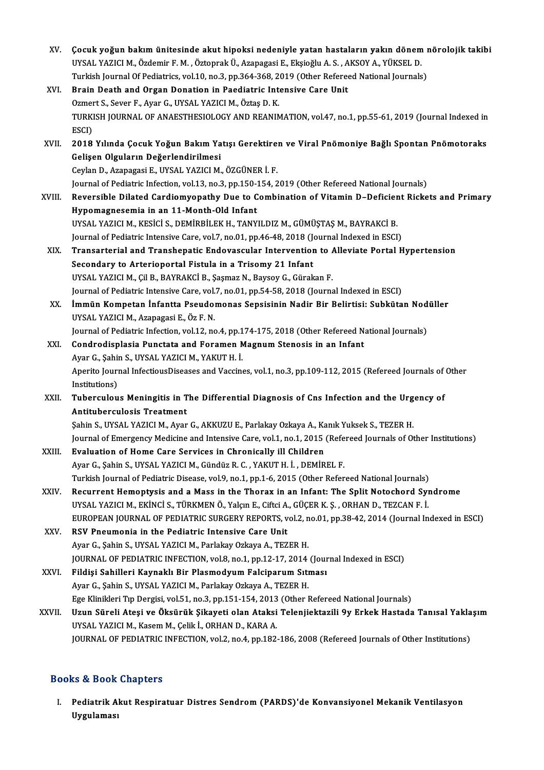| XV.    | Çocuk yoğun bakım ünitesinde akut hipoksi nedeniyle yatan hastaların yakın dönem nörolojik takibi                                                           |
|--------|-------------------------------------------------------------------------------------------------------------------------------------------------------------|
|        | UYSAL YAZICI M., Özdemir F. M., Öztoprak Ü., Azapagasi E., Ekşioğlu A. S., AKSOY A., YÜKSEL D.                                                              |
|        | Turkish Journal Of Pediatrics, vol.10, no.3, pp.364-368, 2019 (Other Refereed National Journals)                                                            |
| XVI.   | Brain Death and Organ Donation in Paediatric Intensive Care Unit                                                                                            |
|        | Ozmert S., Sever F., Ayar G., UYSAL YAZICI M., Öztaş D. K.                                                                                                  |
|        | TURKISH JOURNAL OF ANAESTHESIOLOGY AND REANIMATION, vol.47, no.1, pp.55-61, 2019 (Journal Indexed in<br>ESCI)                                               |
| XVII.  | 2018 Yılında Çocuk Yoğun Bakım Yatışı Gerektiren ve Viral Pnömoniye Bağlı Spontan Pnömotoraks                                                               |
|        | Gelişen Olguların Değerlendirilmesi                                                                                                                         |
|        | Ceylan D., Azapagasi E., UYSAL YAZICI M., ÖZGÜNER İ. F.                                                                                                     |
|        | Journal of Pediatric Infection, vol.13, no.3, pp.150-154, 2019 (Other Refereed National Journals)                                                           |
| XVIII. | Reversible Dilated Cardiomyopathy Due to Combination of Vitamin D-Deficient Rickets and Primary                                                             |
|        | Hypomagnesemia in an 11-Month-Old Infant                                                                                                                    |
|        | UYSAL YAZICI M., KESİCİ S., DEMİRBİLEK H., TANYILDIZ M., GÜMÜŞTAŞ M., BAYRAKCİ B.                                                                           |
|        | Journal of Pediatric Intensive Care, vol.7, no.01, pp.46-48, 2018 (Journal Indexed in ESCI)                                                                 |
| XIX.   | Transarterial and Transhepatic Endovascular Intervention to Alleviate Portal Hypertension                                                                   |
|        | Secondary to Arterioportal Fistula in a Trisomy 21 Infant                                                                                                   |
|        | UYSAL YAZICI M., Çil B., BAYRAKCİ B., Şaşmaz N., Baysoy G., Gürakan F.                                                                                      |
|        | Journal of Pediatric Intensive Care, vol.7, no.01, pp.54-58, 2018 (Journal Indexed in ESCI)                                                                 |
| XX.    | İmmün Kompetan İnfantta Pseudomonas Sepsisinin Nadir Bir Belirtisi: Subkütan Nodüller                                                                       |
|        | UYSAL YAZICI M., Azapagasi E., Öz F. N.                                                                                                                     |
|        | Journal of Pediatric Infection, vol.12, no.4, pp.174-175, 2018 (Other Refereed National Journals)                                                           |
| XXI.   | Condrodisplasia Punctata and Foramen Magnum Stenosis in an Infant                                                                                           |
|        | Ayar G., Şahin S., UYSAL YAZICI M., YAKUT H. İ.                                                                                                             |
|        | Aperito Journal InfectiousDiseases and Vaccines, vol.1, no.3, pp.109-112, 2015 (Refereed Journals of Other                                                  |
|        | Institutions)                                                                                                                                               |
| XXII.  | Tuberculous Meningitis in The Differential Diagnosis of Cns Infection and the Urgency of                                                                    |
|        | <b>Antituberculosis Treatment</b>                                                                                                                           |
|        | Şahin S., UYSAL YAZICI M., Ayar G., AKKUZU E., Parlakay Ozkaya A., Kanık Yuksek S., TEZER H.                                                                |
|        | Journal of Emergency Medicine and Intensive Care, vol.1, no.1, 2015 (Refereed Journals of Other Institutions)                                               |
| XXIII. | Evaluation of Home Care Services in Chronically ill Children                                                                                                |
|        | Ayar G., Şahin S., UYSAL YAZICI M., Gündüz R. C., YAKUT H. İ., DEMİREL F.                                                                                   |
|        | Turkish Journal of Pediatric Disease, vol.9, no.1, pp.1-6, 2015 (Other Refereed National Journals)                                                          |
| XXIV.  | Recurrent Hemoptysis and a Mass in the Thorax in an Infant: The Split Notochord Syndrome                                                                    |
|        | UYSAL YAZICI M., EKİNCİ S., TÜRKMEN Ö., Yalçın E., Ciftci A., GÜÇER K. Ş. , ORHAN D., TEZCAN F. İ.                                                          |
| XXV.   | EUROPEAN JOURNAL OF PEDIATRIC SURGERY REPORTS, vol.2, no.01, pp.38-42, 2014 (Journal Indexed in ESCI)<br>RSV Pneumonia in the Pediatric Intensive Care Unit |
|        | Ayar G., Şahin S., UYSAL YAZICI M., Parlakay Ozkaya A., TEZER H.                                                                                            |
|        | JOURNAL OF PEDIATRIC INFECTION, vol.8, no.1, pp.12-17, 2014 (Journal Indexed in ESCI)                                                                       |
| XXVI.  | Fildişi Sahilleri Kaynaklı Bir Plasmodyum Falciparum Sıtması                                                                                                |
|        | Ayar G., Şahin S., UYSAL YAZICI M., Parlakay Ozkaya A., TEZER H.                                                                                            |
|        | Ege Klinikleri Tıp Dergisi, vol.51, no.3, pp.151-154, 2013 (Other Refereed National Journals)                                                               |
| XXVII. | Uzun Süreli Ateşi ve Öksürük Şikayeti olan Ataksi Telenjiektazili 9y Erkek Hastada Tanısal Yaklaşım                                                         |
|        | UYSAL YAZICI M., Kasem M., Çelik İ., ORHAN D., KARA A.                                                                                                      |
|        | JOURNAL OF PEDIATRIC INFECTION, vol.2, no.4, pp.182-186, 2008 (Refereed Journals of Other Institutions)                                                     |
|        |                                                                                                                                                             |

#### Books&Book Chapters

ooks & Book Chapters<br>I. Pediatrik Akut Respiratuar Distres Sendrom (PARDS)'de Konvansiyonel Mekanik Ventilasyon<br>Urgulamesi uygulaması<br>Pediatrik A<br>Uygulaması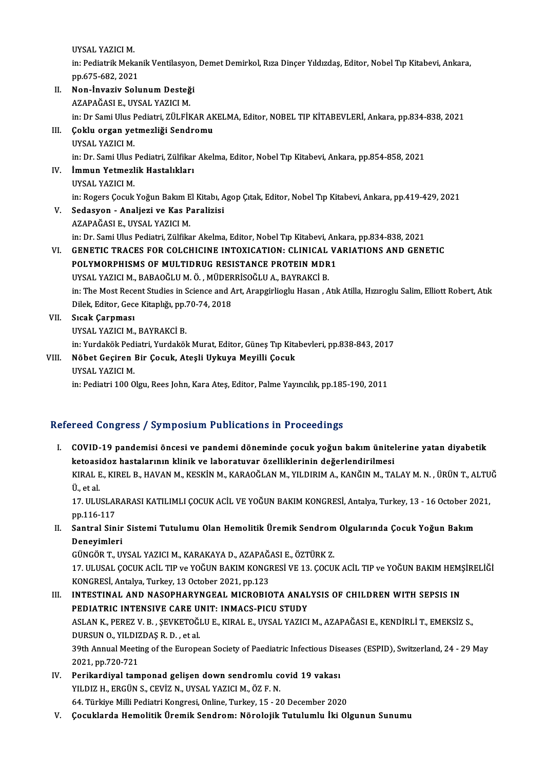UYSAL YAZICIM.

UYSAL YAZICI M.<br>in: Pediatrik Mekanik Ventilasyon, Demet Demirkol, Rıza Dinçer Yıldızdaş, Editor, Nobel Tıp Kitabevi, Ankara,<br>PR 635-692-2021 UYSAL YAZICI M.<br>in: Pediatrik Mekar<br>pp.675-682, 2021<br>Non-Invariu Solu

- in: Pediatrik Mekanik Ventilasyon,<br>pp.675-682, 2021<br>II. Non-İnvaziv Solunum Desteği pp.675-682, 2021<br>Non-İnvaziv Solunum Desteğ<br>AZAPAĞASI E., UYSAL YAZICI M.<br>in: Dr Sami Illus Podiatri ZÜLEİk AZAPAĞASI E., UYSAL YAZICI M.<br>in: Dr Sami Ulus Pediatri, ZÜLFİKAR AKELMA, Editor, NOBEL TIP KİTABEVLERİ, Ankara, pp.834-838, 2021 AZAPAĞASI E., UYSAL YAZICI M.<br>in: Dr Sami Ulus Pediatri, ZÜLFİKAR AK<br>III. Coklu organ yetmezliği Sendromu in: Dr Sami Ulus I<br><mark>Çoklu organ ye</mark><br>UYSAL YAZICI M.<br>in: Dr Sami Ulus l Çoklu organ yetmezliği Sendromu<br>UYSAL YAZICI M.<br>in: Dr. Sami Ulus Pediatri, Zülfikar Akelma, Editor, Nobel Tıp Kitabevi, Ankara, pp.854-858, 2021<br>İmmun Yetmezlik Hastalıkları UYSAL YAZICI M.<br>in: Dr. Sami Ulus Pediatri, Zülfikar<br>IV. **İmmun Yetmezlik Hastalıkları**<br>UYSAL YAZICI M. in: Dr. Sami Ulus<br>İ<mark>mmun Yetmezl</mark><br>UYSAL YAZICI M.<br>in: Pogors Cosuk in: Rogers Çocuk Yoğun Bakım El Kitabı, Agop Çıtak, Editor, Nobel Tıp Kitabevi, Ankara, pp.419-429, 2021 V. Sedasyon - Analjezi ve Kas Paralizisi AZAPAĞASIE.,UYSAL YAZICIM. Sedasyon - Analjezi ve Kas Paralizisi<br>AZAPAĞASI E., UYSAL YAZICI M.<br>in: Dr. Sami Ulus Pediatri, Zülfikar Akelma, Editor, Nobel Tıp Kitabevi, Ankara, pp.834-838, 2021<br>CENETIC TRACES FOR COLCHICINE INTOXICATION: CLINICAL VAR AZAPAĞASI E., UYSAL YAZICI M.<br>in: Dr. Sami Ulus Pediatri, Zülfikar Akelma, Editor, Nobel Tıp Kitabevi, Ankara, pp.834-838, 2021<br>VI. GENETIC TRACES FOR COLCHICINE INTOXICATION: CLINICAL VARIATIONS AND GENETIC<br>POLYMORPHISMS in: Dr. Sami Ulus Pediatri, Zülfikar Akelma, Editor, Nobel Tıp Kitabevi, An<br>GENETIC TRACES FOR COLCHICINE INTOXICATION: CLINICAL V.<br>POLYMORPHISMS OF MULTIDRUG RESISTANCE PROTEIN MDR1<br>UVSAL VAZICI M. PARAQČLILM Ö. MÜDEPRISQ VI. GENETIC TRACES FOR COLCHICINE INTOXICATION: CLINICAL VARIATIONS AND GENETIC<br>POLYMORPHISMS OF MULTIDRUG RESISTANCE PROTEIN MDR1<br>UYSAL YAZICI M. BABAOĞLU M. Ö. MÜDERRİSOĞLU A. BAYRAKCİ B. POLYMORPHISMS OF MULTIDRUG RESISTANCE PROTEIN MDR1<br>UYSAL YAZICI M., BABAOĞLU M. Ö. , MÜDERRİSOĞLU A., BAYRAKCİ B.<br>in: The Most Recent Studies in Science and Art, Arapgirlioglu Hasan , Atık Atilla, Hızıroglu Salim, Elliott UYSAL YAZICI M., BABAOĞLU M. Ö. , MÜDER<br>in: The Most Recent Studies in Science and A<br>Dilek, Editor, Gece Kitaplığı, pp.70-74, 2018<br>Steak Cannmest VII. Sıcak Çarpması<br>UYSAL YAZICI M., BAYRAKCİ B. Dilek, Editor, Gece Kitaplığı, pp.70-74, 2018 Sı<mark>cak Çarpması</mark><br>UYSAL YAZICI M., BAYRAKCİ B.<br>in: Yurdakök Pediatri, Yurdakök Murat, Editor, Güneş Tıp Kitabevleri, pp.838-843, 2017<br>Nöbet Cosiron Bir Cosuk, Atosli Urkuya Mayilli Cosuk. VIII. Nöbet Geçiren Bir Çocuk, Ateşli Uykuya Meyilli Çocuk<br>UYSAL YAZICI M. in: Yurdakök Ped<br><mark>Nöbet Geçiren</mark><br>UYSAL YAZICI M.<br>in: Pediatri 100.0
	-

in: Pediatri 100 Olgu, Rees John, Kara Ateş, Editor, Palme Yayıncılık, pp.185-190, 2011

#### Refereed Congress / Symposium Publications in Proceedings

efereed Congress / Symposium Publications in Proceedings<br>I. COVID-19 pandemisi öncesi ve pandemi döneminde çocuk yoğun bakım ünitelerine yatan diyabetik<br>Istaasidar bastelerunu klipik ve laberaturar özelliklerinin değerlend ketoasidoz hastalarının klinik ve laboratuvar özelliklerinin değerlendirilmesi<br>ketoasidoz hastalarının klinik ve laboratuvar özelliklerinin değerlendirilmesi<br>KIDALE KIDELE HAVAN M. KESKİN M. KARAQĞLAN M. VU DIRIM A. KANĞIN ketoasidoz hastalarının klinik ve laboratuvar özelliklerinin değerlendirilmesi

KIRAL E., KIREL B., HAVAN M., KESKİN M., KARAOĞLAN M., YILDIRIM A., KANĞIN M., TALAY M. N. , ÜRÜN T., ALTUĞ<br>Ü. et al KIRAL E., KIREL B., HAVAN M., KESKİN M., KARAOĞLAN M., YILDIRIM A., KANĞIN M., TALAY M. N. , ÜRÜN T., ALTU<br>Ü., et al.<br>17. ULUSLARARASI KATILIMLI ÇOCUK ACİL VE YOĞUN BAKIM KONGRESİ, Antalya, Turkey, 13 - 16 October 2021,<br>nn

Ü., et al.<br>17. ULUSLAI<br>pp.116-117<br>Santral Sin 17. ULUSLARARASI KATILIMLI ÇOCUK ACİL VE YOĞUN BAKIM KONGRESİ, Antalya, Turkey, 13 - 16 October 20<br>pp.116-117<br>II. Santral Sinir Sistemi Tutulumu Olan Hemolitik Üremik Sendrom Olgularında Çocuk Yoğun Bakım<br>Danayimlari

pp.116-117<br>II. Santral Sinir Sistemi Tutulumu Olan Hemolitik Üremik Sendrom Olgularında Çocuk Yoğun Bakım<br>Deneyimleri Santral Sinir Sistemi Tutulumu Olan Hemolitik Üremik Sendrom<br>Deneyimleri<br>GÜNGÖR T., UYSAL YAZICI M., KARAKAYA D., AZAPAĞASI E., ÖZTÜRK Z.<br>17 HUJSAL COCUK ACİL TIR ve YOĞUN RAKIM KONCRESİ VE 12. COCU

17. ULUSAL ÇOCUK ACİL TIP ve YOĞUN BAKIM KONGRESİ VE 13. ÇOCUK ACİL TIP ve YOĞUN BAKIM HEMŞİRELİĞİ<br>KONGRESİ, Antalya, Turkey, 13 October 2021, pp.123 GÜNGÖR T., UYSAL YAZICI M., KARAKAYA D., AZAPAĞ.<br>17. ULUSAL ÇOCUK ACİL TIP ve YOĞUN BAKIM KONGI<br>KONGRESİ, Antalya, Turkey, 13 October 2021, pp.123<br>INTESTINAL, AND NASOPHARYNCEAL MICRORIC 17. ULUSAL ÇOCUK ACİL TIP ve YOĞUN BAKIM KONGRESİ VE 13. ÇOCUK ACİL TIP ve YOĞUN BAKIM HEM;<br>KONGRESİ, Antalya, Turkey, 13 October 2021, pp.123<br>III. INTESTINAL AND NASOPHARYNGEAL MICROBIOTA ANALYSIS OF CHILDREN WITH SEPSIS

- KONGRESİ, Antalya, Turkey, 13 October 2021, pp.123<br>INTESTINAL AND NASOPHARYNGEAL MICROBIOTA ANAL<br>PEDIATRIC INTENSIVE CARE UNIT: INMACS-PICU STUDY<br>ASLAN K. REREZ V. B., SEVKETOČLU E. KIRAL E. UVSAL YAZICI INTESTINAL AND NASOPHARYNGEAL MICROBIOTA ANALYSIS OF CHILDREN WITH SEPSIS IN<br>PEDIATRIC INTENSIVE CARE UNIT: INMACS-PICU STUDY<br>ASLAN K., PEREZ V. B. , ŞEVKETOĞLU E., KIRAL E., UYSAL YAZICI M., AZAPAĞASI E., KENDİRLİ T., EME PEDIATRIC INTENSIVE CARE U.<br>ASLAN K., PEREZ V. B. , ŞEVKETOĞI<br>DURSUN O., YILDIZDAŞ R. D. , et al.<br>20th Annual Meeting of the Europe ASLAN K., PEREZ V. B. , ŞEVKETOĞLU E., KIRAL E., UYSAL YAZICI M., AZAPAĞASI E., KENDİRLİ T., EMEKSİZ S.,<br>DURSUN O., YILDIZDAŞ R. D. , et al.<br>39th Annual Meeting of the European Society of Paediatric Infectious Diseases (ES 12021 DURSUN O., YILDIZ<br>2021, pp.720-721<br>Porilsadival tam 39th Annual Meeting of the European Society of Paediatric Infectious Disc<br>2021, pp.720-721<br>IV. Perikardiyal tamponad gelişen down sendromlu covid 19 vakası<br>VILDIZ H. ERCÜN S. CEVIZ N. UVSAL VAZICLM ÖZE N.
- 2021, pp.720-721<br>Perikardiyal tamponad gelişen down sendromlu co<br>YILDIZ H., ERGÜN S., CEVİZ N., UYSAL YAZICI M., ÖZ F. N.<br>64. Türkiye Milli Pedistri Kongresi Opline Turkey 15., 34 YILDIZ H., ERGÜN S., CEVİZ N., UYSAL YAZICI M., ÖZ F. N.<br>64. Türkiye Milli Pediatri Kongresi, Online, Turkey, 15 - 20 December 2020
- V. Çocuklarda Hemolitik Üremik Sendrom: Nörolojik Tutulumlu İki Olgunun Sunumu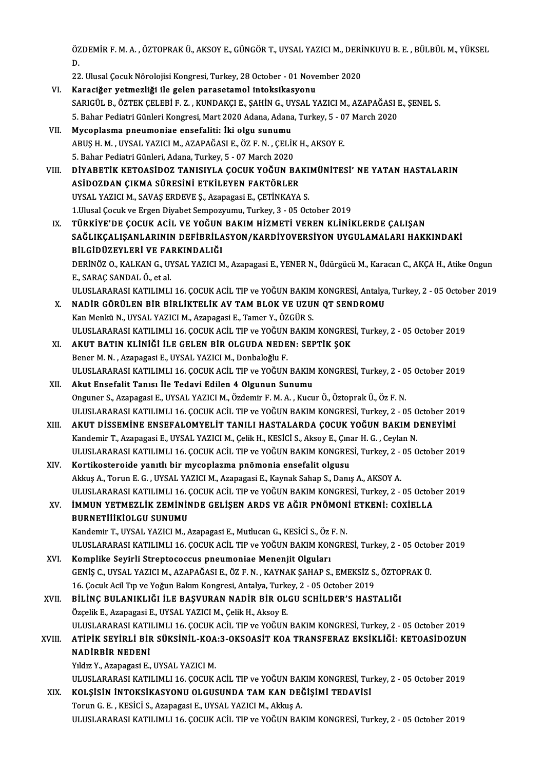ÖZDEMİR F. M. A. , ÖZTOPRAK Ü., AKSOY E., GÜNGÖR T., UYSAL YAZICI M., DERİNKUYU B. E. , BÜLBÜL M., YÜKSEL<br>P 0Z<br>D.<br>22 ÖZDEMİR F. M. A. , ÖZTOPRAK Ü., AKSOY E., GÜNGÖR T., UYSAL YAZICI M., DERİ<br>D.<br>22. Ulusal Çocuk Nörolojisi Kongresi, Turkey, 28 October - 01 November 2020<br>Kanasižer yetmerliği ile selen narasatamal inteksikasyonu

D.<br>22. Ulusal Çocuk Nörolojisi Kongresi, Turkey, 28 October - 01 November 2020<br>1. Karaciğer yetmezliği ile gelen parasetamol intoksikasyonu

22. Ulusal Çocuk Nörolojisi Kongresi, Turkey, 28 October - 01 November 2020<br>Karaciğer yetmezliği ile gelen parasetamol intoksikasyonu<br>SARIGÜL B., ÖZTEK ÇELEBİ F. Z. , KUNDAKÇI E., ŞAHİN G., UYSAL YAZICI M., AZAPAĞASI E., Ş Karaciğer yetmezliği ile gelen parasetamol intoksikasyonu<br>SARIGÜL B., ÖZTEK ÇELEBİ F. Z. , KUNDAKÇI E., ŞAHİN G., UYSAL YAZICI M., AZAPAĞASI I<br>5. Bahar Pediatri Günleri Kongresi, Mart 2020 Adana, Adana, Turkey, 5 - 07 Marc VI . Mycoplasma pneumoniae ensefaliti: İki olgu sunumu 5. Bahar Pediatri Günleri Kongresi, Mart 2020 Adana, Adana, Turkey, 5 - 07 March 2020<br>Mycoplasma pneumoniae ensefaliti: İki olgu sunumu<br>ABUŞ H. M. , UYSAL YAZICI M., AZAPAĞASI E., ÖZ F. N. , ÇELİK H., AKSOY E.<br>5. Bahar Ped Mycoplasma pneumoniae ensefaliti: İki olgu sunumu<br>ABUŞ H. M. , UYSAL YAZICI M., AZAPAĞASI E., ÖZ F. N. , ÇELİK<br>5. Bahar Pediatri Günleri, Adana, Turkey, 5 - 07 March 2020<br>DİYARETİK KETOASİDOZ TANISIYI A COCUK YOĞUN R VIII. DİYABETİK KETOASİDOZ TANISIYLA ÇOCUK YOĞUN BAKIMÜNİTESİ' NE YATAN HASTALARIN 5. Bahar Pediatri Günleri, Adana, Turkey, 5 - 07 March 2020<br>DİYABETİK KETOASİDOZ TANISIYLA ÇOCUK YOĞUN BA<br>ASİDOZDAN ÇIKMA SÜRESİNİ ETKİLEYEN FAKTÖRLER<br>UYSAL YAZICLM, SAVAS EPDEVE S. Azənəsəsi E. CETİNKAYA DİYABETİK KETOASİDOZ TANISIYLA ÇOCUK YOĞUN BAKI<br>ASİDOZDAN ÇIKMA SÜRESİNİ ETKİLEYEN FAKTÖRLER<br>UYSAL YAZICI M., SAVAŞ ERDEVE Ş., Azapagasi E., ÇETİNKAYA S.<br>1 Husal Cosuk ve Ersen Diyabet Semnesunumu Turkey 3 - 05 Os UYSAL YAZICI M., SAVAŞ ERDEVE Ş., Azapagasi E., ÇETİNKAYA S.<br>1.Ulusal Çocuk ve Ergen Diyabet Sempozyumu, Turkey, 3 - 05 October 2019 UYSAL YAZICI M., SAVAŞ ERDEVE Ş., Azapagasi E., ÇETİNKAYA S.<br>1.Ulusal Çocuk ve Ergen Diyabet Sempozyumu, Turkey, 3 - 05 October 2019<br>IX. TÜRKİYE'DE ÇOCUK ACİL VE YOĞUN BAKIM HİZMETİ VEREN KLİNİKLERDE ÇALIŞAN<br>5 AĞI IKCA SAĞLIKÇALIŞANLARININ DEFİBRİLASYON/KARDİYOVERSİYON UYGULAMALARI HAKKINDAKİ<br>BİLGİDÜZEYLERİ VE FARKINDALIĞI TÜRKİYE'DE ÇOCUK ACİL VE YOĞUN<br>SAĞLIKÇALIŞANLARININ DEFİBRİLA<br>BİLGİDÜZEYLERİ VE FARKINDALIĞI<br>DEPİNÖZ O KALKAN C UYSAL YAZICI M SAĞLIKÇALIŞANLARININ DEFİBRİLASYON/KARDİYOVERSİYON UYGULAMALARI HAKKINDAKİ<br>BİLGİDÜZEYLERİ VE FARKINDALIĞI<br>DERİNÖZ O., KALKAN G., UYSAL YAZICI M., Azapagasi E., YENER N., Üdürgücü M., Karacan C., AKÇA H., Atike Ongun<br>E. SAR **BİLGİDÜZEYLERİ VE FA**.<br>DERİNÖZ O., KALKAN G., UY<br>E., SARAÇ SANDAL Ö., et al.<br>ULUSLARARAŞI KATU IMLI DERİNÖZ O., KALKAN G., UYSAL YAZICI M., Azapagasi E., YENER N., Üdürgücü M., Karacan C., AKÇA H., Atike Ongun<br>E., SARAÇ SANDAL Ö., et al.<br>ULUSLARARASI KATILIMLI 16. ÇOCUK ACİL TIP ve YOĞUN BAKIM KONGRESİ, Antalya, Turkey, E., SARAÇ SANDAL Ö., et al.<br>ULUSLARARASI KATILIMLI 16. ÇOCUK ACİL TIP ve YOĞUN BAKIM KONGRESİ, Antalya<br>X. NADİR GÖRÜLEN BİR BİRLİKTELİK AV TAM BLOK VE UZUN QT SENDROMU<br>Kan Menkü N., UYSAL YAZICI M., Azapagasi E., Tamer Y., ULUSLARARASI KATILIMLI 16. ÇOCUK ACİL TIP ve YOĞUN BAKIM KONGRESİ, Antalya, Turkey, 2 - 05 October 2019 ULUSLARARASIKATILIMLI16.ÇOCUKACİL TIPveYOĞUNBAKIMKONGRESİ,Turkey,2 -05October 2019 Kan Menkü N., UYSAL YAZICI M., Azapagasi E., Tamer Y., ÖZGÜR S.<br>ULUSLARARASI KATILIMLI 16. ÇOCUK ACİL TIP ve YOĞUN BAKIM KONGRES<br>XI. KAKUT BATIN KLİNİĞİ İLE GELEN BİR OLGUDA NEDEN: SEPTİK ŞOK ULUSLARARASI KATILIMLI 16. ÇOCUK ACİL TIP ve YOĞUN<br>**AKUT BATIN KLİNİĞİ İLE GELEN BİR OLGUDA NEDE**<br>Bener M. N. , Azapagasi E., UYSAL YAZICI M., Donbaloğlu F.<br>ULUSLARARASI KATILIMLI 16. COCUK ACİL TIR ve YOĞUN AKUT BATIN KLİNİĞİ İLE GELEN BİR OLGUDA NEDEN: SEPTİK ŞOK<br>Bener M. N. , Azapagasi E., UYSAL YAZICI M., Donbaloğlu F.<br>ULUSLARARASI KATILIMLI 16. ÇOCUK ACİL TIP ve YOĞUN BAKIM KONGRESİ, Turkey, 2 - 05 October 2019<br>Akut Ensef Bener M. N. , Azapagasi E., UYSAL YAZICI M., Donbaloğlu F.<br>ULUSLARARASI KATILIMLI 16. ÇOCUK ACİL TIP ve YOĞUN BAKIM<br>XII. Akut Ensefalit Tanısı İle Tedavi Edilen 4 Olgunun Sunumu<br>Onguner S. Azapagasi E. UYSAL YAZICI M. Özde ULUSLARARASI KATILIMLI 16. ÇOCUK ACİL TIP ve YOĞUN BAKIM KONGRESİ, Turkey, 2 - 0<br>Akut Ensefalit Tanısı İle Tedavi Edilen 4 Olgunun Sunumu<br>Onguner S., Azapagasi E., UYSAL YAZICI M., Özdemir F. M. A. , Kucur Ö., Öztoprak Ü., Akut Ensefalit Tanısı İle Tedavi Edilen 4 Olgunun Sunumu<br>Onguner S., Azapagasi E., UYSAL YAZICI M., Özdemir F. M. A. , Kucur Ö., Öztoprak Ü., Öz F. N.<br>ULUSLARARASI KATILIMLI 16. ÇOCUK ACİL TIP ve YOĞUN BAKIM KONGRESİ, Turk Onguner S., Azapagasi E., UYSAL YAZICI M., Özdemir F. M. A. , Kucur Ö., Öztoprak Ü., Öz F. N.<br>ULUSLARARASI KATILIMLI 16. ÇOCUK ACİL TIP ve YOĞUN BAKIM KONGRESİ, Turkey, 2 - 05 October 201<br>XIII. AKUT DİSSEMİNE ENSEFALOM ULUSLARARASI KATILIMLI 16. ÇOCUK ACİL TIP ve YOĞUN BAKIM KONGRESİ, Turkey, 2 - 05 0<br>AKUT DİSSEMİNE ENSEFALOMYELİT TANILI HASTALARDA ÇOCUK YOĞUN BAKIM D<br>Kandemir T., Azapagasi E., UYSAL YAZICI M., Çelik H., KESİCİ S., Aksoy AKUT DİSSEMİNE ENSEFALOMYELİT TANILI HASTALARDA ÇOCUK YOĞUN BAKIM DENEYİMİ<br>Kandemir T., Azapagasi E., UYSAL YAZICI M., Çelik H., KESİCİ S., Aksoy E., Çınar H. G. , Ceylan N.<br>ULUSLARARASI KATILIMLI 16. ÇOCUK ACİL TIP ve YOĞ Kandemir T., Azapagasi E., UYSAL YAZICI M., Çelik H., KESİCİ S., Aksoy E., Çınar H. G. , Ceylan N.<br>ULUSLARARASI KATILIMLI 16. ÇOCUK ACİL TIP ve YOĞUN BAKIM KONGRESİ, Turkey, 2 - 05 O<br>XIV. Kortikosteroide yanıtlı bir mycopl ULUSLARARASI KATILIMLI 16. ÇOCUK ACİL TIP ve YOĞUN BAKIM KONGRESİ, Turkey, 2 - 05 October 2019 ULUSLARARASI KATILIMLI 16. ÇOCUK ACİL TIP ve YOĞUN BAKIM KONGRESİ, Turkey, 2 - 05 October 2019 Akkuş A., Torun E. G. , UYSAL YAZICI M., Azapagasi E., Kaynak Sahap S., Danış A., AKSOY A.<br>ULUSLARARASI KATILIMLI 16. ÇOCUK ACİL TIP ve YOĞUN BAKIM KONGRESİ, Turkey, 2 - 05 Octob<br>XV. İMMUN YETMEZLİK ZEMİNİNDE GELİŞEN ARDS ULUSLARARASI KATILIMLI 16. (<br>İMMUN YETMEZLİK ZEMİNİN<br>BURNETİİİKİOLGU SUNUMU<br>Kandamin T. UYSAL YAZICI M İMMUN YETMEZLİK ZEMİNİNDE GELİŞEN ARDS VE AĞIR PNÖMON<br>BURNETİİİKİOLGU SUNUMU<br>Kandemir T., UYSAL YAZICI M., Azapagasi E., Mutlucan G., KESİCİ S., Öz F. N.<br>ULUSLARARASI KATU IML146 COCUK AÇİL TIR VO YOĞUN RAKIM KONCRE BURNETİİİKİOLGU SUNUMU<br>Kandemir T., UYSAL YAZICI M., Azapagasi E., Mutlucan G., KESİCİ S., Öz F. N.<br>ULUSLARARASI KATILIMLI 16. ÇOCUK ACİL TIP ve YOĞUN BAKIM KONGRESİ, Turkey, 2 - 05 October 2019<br>Komplika Sevirli Strantasas Kandemir T., UYSAL YAZICI M., Azapagasi E., Mutlucan G., KESICI S., Öz<br>ULUSLARARASI KATILIMLI 16. ÇOCUK ACIL TIP ve YOĞUN BAKIM KON<br>XVI. Komplike Seyirli Streptococcus pneumoniae Menenjit Olguları<br>CENIS G. UYSAL YAZICI M. ULUSLARARASI KATILIMLI 16. ÇOCUK ACİL TIP ve YOĞUN BAKIM KONGRESİ, Turkey, 2 - 05 Octol<br>Komplike Seyirli Streptococcus pneumoniae Menenjit Olguları<br>GENİŞ C., UYSAL YAZICI M., AZAPAĞASI E., ÖZ F. N. , KAYNAK ŞAHAP S., EMEKS Komplike Seyirli Streptococcus pneumoniae Menenjit Olguları<br>GENİŞ C., UYSAL YAZICI M., AZAPAĞASI E., ÖZ F. N. , KAYNAK ŞAHAP S., EMEKSİZ S.<br>16. Çocuk Acil Tıp ve Yoğun Bakım Kongresi, Antalya, Turkey, 2 - 05 October 2019<br>P GENİŞ C., UYSAL YAZICI M., AZAPAĞASI E., ÖZ F. N. , KAYNAK ŞAHAP S., EMEKSİZ S., ÖZTOPRAK Ü.<br>16. Çocuk Acil Tıp ve Yoğun Bakım Kongresi, Antalya, Turkey, 2 - 05 October 2019<br>XVII. BİLİNÇ BULANIKLIĞI İLE BAŞVURAN NADİR BİR 16. Çocuk Acil Tıp ve Yoğun Bakım Kongresi, Antalya, Turkı<br>BİLİNÇ BULANIKLIĞI İLE BAŞVURAN NADİR BİR OL<br>Özçelik E., Azapagasi E., UYSAL YAZICI M., Çelik H., Aksoy E.<br>ULUSLARARASI KATILIMLI 16. COCUK ACİL TIR ve YOĞUN BİLİNÇ BULANIKLIĞI İLE BAŞVURAN NADİR BİR OLGU SCHİLDER'S HASTALIĞI<br>Özçelik E., Azapagasi E., UYSAL YAZICI M., Çelik H., Aksoy E.<br>ULUSLARARASI KATILIMLI 16. ÇOCUK ACİL TIP ve YOĞUN BAKIM KONGRESİ, Turkey, 2 - 05 October 20 Özçelik E., Azapagasi E., UYSAL YAZICI M., Çelik H., Aksoy E.<br>ULUSLARARASI KATILIMLI 16. ÇOCUK ACİL TIP ve YOĞUN BAKIM KONGRESİ, Turkey, 2 - 05 October 2019<br>XVIII. ATİPİK SEYİRLİ BİR SÜKSİNİL-KOA:3-OKSOASİT KOA TRANSFE ULUSLARARASI KATI<br><mark>ATİPİK SEYİRLİ BİF</mark><br>NADİRBİR NEDENİ<br><sup>VIM</sup>E YATARAZƏSI E ATİPİK SEYİRLİ BİR SÜKSİNİL-KOA:3-OKSOASİT KOA TRANSFERAZ EKSİKLİĞİ: KETOASİDOZUN NADİRBİR NEDENİ<br>NADİRBİR NEDENİ<br>Yıldız Y., Azapagasi E., UYSAL YAZICI M. NADİRBİR NEDENİ<br>Yıldız Y., Azapagasi E., UYSAL YAZICI M.<br>ULUSLARARASI KATILIMLI 16. ÇOCUK ACİL TIP ve YOĞUN BAKIM KONGRESİ, Turkey, 2 - 05 October 2019<br>KOL SİSİN İNTOKSİKASYONU OLGUSUNDA TAM KAN DEĞİSİMİ TEDAVİSİ Yıldız Y., Azapagasi E., UYSAL YAZICI M.<br>ULUSLARARASI KATILIMLI 16. ÇOCUK ACİL TIP ve YOĞUN BAKIM KONGRESİ, Tur<br>XIX. KOLŞİSİN İNTOKSİKASYONU OLGUSUNDA TAMKAN DEĞİŞİMİ TEDAVİSİ ULUSLARARASI KATILIMLI 16. ÇOCUK ACİL TIP ve YOĞUN BAH<br>**KOLŞİSİN İNTOKSİKASYONU OLGUSUNDA TAM KAN DE**<br>Torun G. E. , KESİCİ S., Azapagasi E., UYSAL YAZICI M., Akkuş A.<br>ULUSLARARASI KATILIMLI 16. COCUK ACİL TIR ve YOĞUN BAH KOLŞİSİN İNTOKSIKASYONU OLGUSUNDA TAM KAN DEĞİŞİMİ TEDAVİSI<br>Torun G. E. , KESİCİ S., Azapagasi E., UYSAL YAZICI M., Akkuş A.<br>ULUSLARARASI KATILIMLI 16. ÇOCUK ACİL TIP ve YOĞUN BAKIM KONGRESİ, Turkey, 2 - 05 October 2019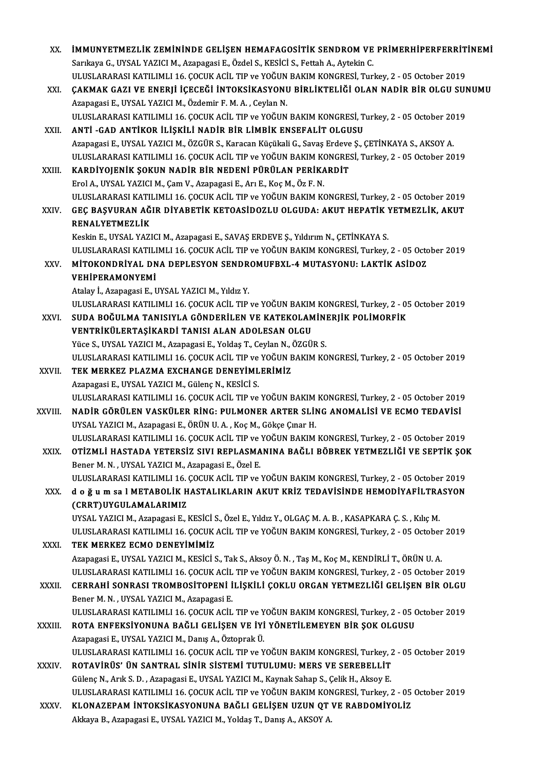| XX.          | IMMUNYETMEZLIK ZEMININDE GELIŞEN HEMAFAGOSITIK SENDROM VE PRIMERHIPERFERRITINEMI                        |
|--------------|---------------------------------------------------------------------------------------------------------|
|              | Sarıkaya G., UYSAL YAZICI M., Azapagasi E., Özdel S., KESİCİ S., Fettah A., Aytekin C.                  |
|              | ULUSLARARASI KATILIMLI 16. ÇOCUK ACİL TIP ve YOĞUN BAKIM KONGRESİ, Turkey, 2 - 05 October 2019          |
| XXI.         | ÇAKMAK GAZI VE ENERJİ İÇECEĞİ İNTOKSİKASYONU BİRLİKTELİĞİ OLAN NADİR BİR OLGU SUNUMU                    |
|              | Azapagasi E., UYSAL YAZICI M., Özdemir F. M. A., Ceylan N.                                              |
|              | ULUSLARARASI KATILIMLI 16. ÇOCUK ACİL TIP ve YOĞUN BAKIM KONGRESİ, Turkey, 2 - 05 October 2019          |
| XXII.        | ANTI - GAD ANTIKOR ILIŞKILI NADIR BIR LIMBIK ENSEFALIT OLGUSU                                           |
|              | Azapagasi E., UYSAL YAZICI M., ÖZGÜR S., Karacan Küçükali G., Savaş Erdeve Ş., ÇETİNKAYA S., AKSOY A.   |
|              | ULUSLARARASI KATILIMLI 16. ÇOCUK ACİL TIP ve YOĞUN BAKIM KONGRESİ, Turkey, 2 - 05 October 2019          |
| XXIII.       | KARDİYOJENİK ŞOKUN NADİR BİR NEDENİ PÜRÜLAN PERİKARDİT                                                  |
|              | Erol A., UYSAL YAZICI M., Çam V., Azapagasi E., Arı E., Koç M., Öz F. N.                                |
|              | ULUSLARARASI KATILIMLI 16. ÇOCUK ACİL TIP ve YOĞUN BAKIM KONGRESİ, Turkey, 2 - 05 October 2019          |
| XXIV.        | GEÇ BAŞVURAN AĞIR DİYABETİK KETOASİDOZLU OLGUDA: AKUT HEPATİK YETMEZLİK, AKUT                           |
|              | RENALYETMEZLİK                                                                                          |
|              | Keskin E., UYSAL YAZICI M., Azapagasi E., SAVAŞ ERDEVE Ş., Yıldırım N., ÇETİNKAYA S.                    |
|              | ULUSLARARASI KATILIMLI 16. ÇOCUK ACİL TIP ve YOĞUN BAKIM KONGRESİ, Turkey, 2 - 05 October 2019          |
| XXV.         | MITOKONDRIYAL DNA DEPLESYON SENDROMUFBXL-4 MUTASYONU: LAKTIK ASIDOZ                                     |
|              | VEHİPERAMONYEMİ                                                                                         |
|              | Atalay I., Azapagasi E., UYSAL YAZICI M., Yıldız Y.                                                     |
|              | ULUSLARARASI KATILIMLI 16. ÇOCUK ACİL TIP ve YOĞUN BAKIM KONGRESİ, Turkey, 2 - 05 October 2019          |
| XXVI.        | SUDA BOĞULMA TANISIYLA GÖNDERİLEN VE KATEKOLAMİNERJİK POLİMORFİK                                        |
|              | VENTRİKÜLERTAŞİKARDİ TANISI ALAN ADOLESAN OLGU                                                          |
|              | Yüce S., UYSAL YAZICI M., Azapagasi E., Yoldaş T., Ceylan N., ÖZGÜR S.                                  |
|              | ULUSLARARASI KATILIMLI 16. ÇOCUK ACİL TIP ve YOĞUN BAKIM KONGRESİ, Turkey, 2 - 05 October 2019          |
| XXVII.       | TEK MERKEZ PLAZMA EXCHANGE DENEYİMLERİMİZ                                                               |
|              | Azapagasi E., UYSAL YAZICI M., Gülenç N., KESİCİ S.                                                     |
|              | ULUSLARARASI KATILIMLI 16. ÇOCUK ACİL TIP ve YOĞUN BAKIM KONGRESİ, Turkey, 2 - 05 October 2019          |
| XXVIII.      | NADİR GÖRÜLEN VASKÜLER RİNG: PULMONER ARTER SLİNG ANOMALİSİ VE ECMO TEDAVİSİ                            |
|              | UYSAL YAZICI M., Azapagasi E., ÖRÜN U. A., Koç M., Gökçe Çınar H.                                       |
|              | ULUSLARARASI KATILIMLI 16. ÇOCUK ACİL TIP ve YOĞUN BAKIM KONGRESİ, Turkey, 2 - 05 October 2019          |
| XXIX.        | OTİZMLİ HASTADA YETERSİZ SIVI REPLASMANINA BAĞLI BÖBREK YETMEZLİĞİ VE SEPTİK ŞOK                        |
|              | Bener M. N., UYSAL YAZICI M., Azapagasi E., Özel E.                                                     |
|              | ULUSLARARASI KATILIMLI 16. ÇOCUK ACİL TIP ve YOĞUN BAKIM KONGRESİ, Turkey, 2 - 05 October 2019          |
| XXX.         | d o ğ u m sa I METABOLİK HASTALIKLARIN AKUT KRİZ TEDAVİSİNDE HEMODİYAFİLTRASYON                         |
|              | (CRRT) UYGULAMALARIMIZ                                                                                  |
|              | UYSAL YAZICI M., Azapagasi E., KESİCİ S., Özel E., Yıldız Y., OLGAÇ M. A. B., KASAPKARA Ç. S., Kılıç M. |
|              | ULUSLARARASI KATILIMLI 16. ÇOCUK ACİL TIP ve YOĞUN BAKIM KONGRESİ, Turkey, 2 - 05 October 2019          |
| XXXI.        | TEK MERKEZ ECMO DENEYİMİMİZ                                                                             |
|              | Azapagasi E., UYSAL YAZICI M., KESİCİ S., Tak S., Aksoy Ö. N., Taş M., Koç M., KENDİRLİ T., ÖRÜN U. A.  |
|              | ULUSLARARASI KATILIMLI 16. ÇOCUK ACİL TIP ve YOĞUN BAKIM KONGRESİ, Turkey, 2 - 05 October 2019          |
| <b>XXXII</b> | CERRAHİ SONRASI TROMBOSİTOPENİ İLİŞKİLİ ÇOKLU ORGAN YETMEZLİĞİ GELİŞEN BİR OLGU                         |
|              | Bener M. N., UYSAL YAZICI M., Azapagasi E.                                                              |
|              | ULUSLARARASI KATILIMLI 16. ÇOCUK ACİL TIP ve YOĞUN BAKIM KONGRESİ, Turkey, 2 - 05 October 2019          |
| XXXIII       | ROTA ENFEKSIYONUNA BAĞLI GELIŞEN VE İYI YÖNETILEMEYEN BİR ŞOK OLGUSU                                    |
|              | Azapagasi E., UYSAL YAZICI M., Danış A., Öztoprak Ü.                                                    |
|              | ULUSLARARASI KATILIMLI 16. ÇOCUK ACİL TIP ve YOĞUN BAKIM KONGRESİ, Turkey, 2 - 05 October 2019          |
| XXXIV.       | ROTAVİRÜS' ÜN SANTRAL SİNİR SİSTEMİ TUTULUMU: MERS VE SEREBELLİT                                        |
|              | Gülenç N., Arık S. D., Azapagasi E., UYSAL YAZICI M., Kaynak Sahap S., Çelik H., Aksoy E.               |
|              | ULUSLARARASI KATILIMLI 16. ÇOCUK ACİL TIP ve YOĞUN BAKIM KONGRESİ, Turkey, 2 - 05 October 2019          |
| XXXV.        | KLONAZEPAM İNTOKSİKASYONUNA BAĞLI GELİŞEN UZUN QT VE RABDOMİYOLİZ                                       |
|              | Akkaya B., Azapagasi E., UYSAL YAZICI M., Yoldaş T., Danış A., AKSOY A.                                 |
|              |                                                                                                         |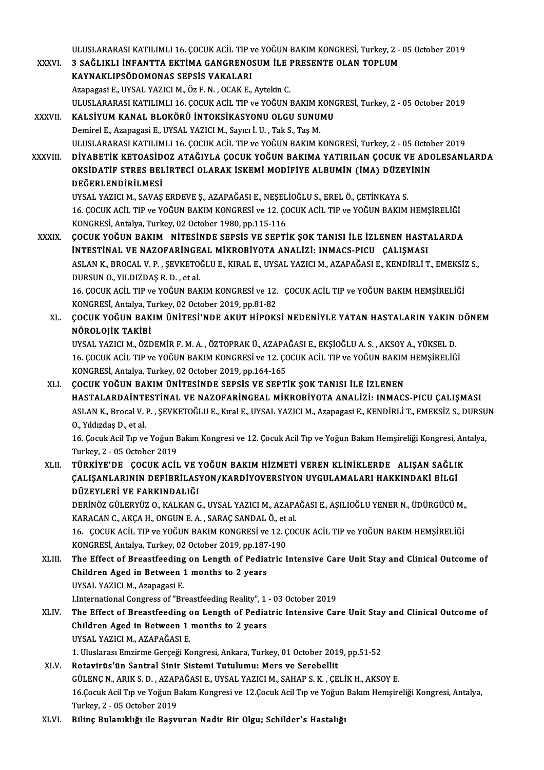ULUSLARARASI KATILIMLI 16. ÇOCUK ACİL TIP ve YOĞUN BAKIM KONGRESİ, Turkey, 2 - 05 October 2019<br>2 SAĞLIYLI İNFANTTA FKTİMA CANCRENOSUM İLE PRESENTE OLAN TORLUM ULUSLARARASI KATILIMLI 16. ÇOCUK ACİL TIP ve YOĞUN BAKIM KONGRESİ, Turkey, 2 -<br>XXXVI. 3 SAĞLIKLI İNFANTTA EKTİMA GANGRENOSUM İLE PRESENTE OLAN TOPLUM ULUSLARARASI KATILIMLI 16. ÇOCUK ACİL TIP v<br>3 SAĞLIKLI İNFANTTA EKTİMA GANGRENO:<br>KAYNAKLIPSÖDOMONAS SEPSİS VAKALARI<br>Azənazasi E. UYSAL YAZICLM, Öz E.N., OCAK E. 3 SAĞLIKLI İNFANTTA EKTİMA GANGRENOSUM İLE I<br>KAYNAKLIPSÖDOMONAS SEPSİS VAKALARI<br>Azapagasi E., UYSAL YAZICI M., Öz F. N. , OCAK E., Aytekin C.<br>ULUSLARARASI KATU MUL16 COCUK ACİL TIR ve YOĞUN I KAYNAKLIPSÖDOMONAS SEPSİS VAKALARI<br>Azapagasi E., UYSAL YAZICI M., Öz F. N. , OCAK E., Aytekin C.<br>ULUSLARARASI KATILIMLI 16. ÇOCUK ACİL TIP ve YOĞUN BAKIM KONGRESİ, Turkey, 2 - 05 October 2019 Azapagasi E., UYSAL YAZICI M., Öz F. N. , OCAK E., Aytekin C.<br>ULUSLARARASI KATILIMLI 16. ÇOCUK ACİL TIP ve YOĞUN BAKIM KONO<br>XXXVII. KALSİYUM KANAL BLOKÖRÜ İNTOKSİKASYONU OLGU SUNUMU ULUSLARARASI KATILIMLI 16. ÇOCUK ACİL TIP ve YOĞUN BAKIM K<br>**KALSİYUM KANAL BLOKÖRÜ İNTOKSİKASYONU OLGU SUNU**<br>Demirel E., Azapagasi E., UYSAL YAZICI M., Sayıcı İ. U. , Tak S., Taş M.<br>ULUSLARARASI KATILIMLI 16. COCUK ACİL TI KALSİYUM KANAL BLOKÖRÜ İNTOKSİKASYONU OLGU SUNUMU<br>Demirel E., Azapagasi E., UYSAL YAZICI M., Sayıcı İ. U. , Tak S., Taş M.<br>ULUSLARARASI KATILIMLI 16. ÇOCUK ACİL TIP ve YOĞUN BAKIM KONGRESİ, Turkey, 2 - 05 October 2019<br>DİYA Demirel E., Azapagasi E., UYSAL YAZICI M., Sayıcı İ. U. , Tak S., Taş M.<br>ULUSLARARASI KATILIMLI 16. ÇOCUK ACİL TIP ve YOĞUN BAKIM KONGRESİ, Turkey, 2 - 05 October 2019<br>XXXVIII. DİYABETİK KETOASİDOZ ATAĞIYLA ÇOCUK YOĞUN BAK ULUSLARARASI KATILIMLI 16. ÇOCUK ACİL TIP ve YOĞUN BAKIM KONGRESİ, Turkey, 2 - 05 Octob<br>DİYABETİK KETOASİDOZ ATAĞIYLA ÇOCUK YOĞUN BAKIMA YATIRILAN ÇOCUK VE ADC<br>OKSİDATİF STRES BELİRTECİ OLARAK İSKEMİ MODİFİYE ALBUMİN (İMA) DİYABETİK KETOASİD<br>OKSİDATİF STRES BEL<br>DEĞERLENDİRİLMESİ<br>UYSAL YAZICLM-SAVAS OKSİDATİF STRES BELİRTECİ OLARAK İSKEMİ MODİFİYE ALBUMİN (İMA) DÜZEYİNİN<br>DEĞERLENDİRİLMESİ<br>UYSAL YAZICI M., SAVAŞ ERDEVE Ş., AZAPAĞASI E., NEŞELİOĞLU S., EREL Ö., ÇETİNKAYA S. 16. ÇOCUK ACİL TIP ve YOĞUN BAKIM KONGRESİ ve 12. ÇOCUK ACİL TIP ve YOĞUN BAKIM HEMŞİRELİĞİ KONGRESİ, Antalya, Turkey, 02 October 1980, pp.115-116 XXXIX. ÇOCUK YOĞUN BAKIM NİTESİNDE SEPSİS VE SEPTİK ŞOK TANISI İLE İZLENEN HASTALARDA KONGRESİ, Antalya, Turkey, 02 October 1980, pp.115-116<br>ÇOCUK YOĞUN BAKIM - NİTESİNDE SEPSİS VE SEPTİK ŞOK TANISI İLE İZLENEN HAST.<br>İNTESTİNAL VE NAZOFARİNGEAL MİKROBİYOTA ANALİZİ: INMACS-PICU - ÇALIŞMASI<br>ASLAN K- PROCAL V. ÇOCUK YOĞUN BAKIM NİTESİNDE SEPSİS VE SEPTİK ŞOK TANISI İLE İZLENEN HASTALARDA<br>İNTESTİNAL VE NAZOFARİNGEAL MİKROBİYOTA ANALİZİ: INMACS-PICU ÇALIŞMASI<br>ASLAN K., BROCAL V. P. , ŞEVKETOĞLU E., KIRAL E., UYSAL YAZICI M., A INTESTINAL VE NAZOFARINGEAL MIKROBIYOTA ANALIZI: INMACS-PICU ÇALIŞMASI<br>ASLAN K., BROCAL V. P. , ŞEVKETOĞLU E., KIRAL E., UYSAL YAZICI M., AZAPAĞASI E., KENDIRLI T., EMEKSIZ S.,<br>DURSUN O., YILDIZDAS R. D. , et al. ASLAN K., BROCAL V. P. , ŞEVKETOĞLU E., KIRAL E., UYSAL YAZICI M., AZAPAĞASI E., KENDİRLİ T., EMEKSİ.<br>DURSUN O., YILDIZDAŞ R. D. , et al.<br>16. ÇOCUK ACİL TIP ve YOĞUN BAKIM KONGRESİ ve 12. ÇOCUK ACİL TIP ve YOĞUN BAKIM HE DURSUN O., YILDIZDAŞ R. D. , et al.<br>16. ÇOCUK ACİL TIP ve YOĞUN BAKIM KONGRESİ ve 12.<br>KONGRESİ, Antalya, Turkey, 02 October 2019, pp.81-82<br>COCUK YOĞUN BAKIM ÜNİTESİ'NDE AKUT HİBOKS XL. ÇOCUK YOĞUN BAKIMÜNİTESİ'NDE AKUT HİPOKSİ NEDENİYLE YATAN HASTALARIN YAKIN DÖNEM KONGRESİ, Antalya, Turkey, 02 October 2019, pp.81-82 ÇOCUK YOĞUN BAKIM ÜNİTESİ'NDE AKUT HİPOKSİ NEDENİYLE YATAN HASTALARIN YAKIN<br>NÖROLOJİK TAKİBİ<br>UYSAL YAZICI M., ÖZDEMİR F. M. A. , ÖZTOPRAK Ü., AZAPAĞASI E., EKŞİOĞLU A. S. , AKSOY A., YÜKSEL D.<br>16. COCUY AÇU, TIP ve YOĞUN R NÖROLOJİK TAKİBİ<br>UYSAL YAZICI M., ÖZDEMİR F. M. A. , ÖZTOPRAK Ü., AZAPAĞASI E., EKŞİOĞLU A. S. , AKSOY A., YÜKSEL D.<br>16. ÇOCUK ACİL TIP ve YOĞUN BAKIM KONGRESİ ve 12. ÇOCUK ACİL TIP ve YOĞUN BAKIM HEMŞİRELİĞİ<br>KONGRESİ, Art UYSAL YAZICI M., ÖZDEMİR F. M. A. , ÖZTOPRAK Ü., AZAPA<br>16. ÇOCUK ACİL TIP ve YOĞUN BAKIM KONGRESİ ve 12. ÇC<br>KONGRESİ, Antalya, Turkey, 02 October 2019, pp.164-165<br>COCUK YOĞUN BAKIM ÜNİTESİNDE SEBSİS VE SEPTİ XLI. ÇOCUK YOĞUN BAKIMÜNİTESİNDE SEPSİS VE SEPTİK ŞOK TANISI İLE İZLENEN HASTALARDAİNTESTİNAL VE NAZOFARİNGEAL MİKROBİYOTA ANALİZİ: INMACS-PICU ÇALIŞMASI ASLANK.,BrocalV.P. ,ŞEVKETOĞLUE.,KıralE.,UYSAL YAZICIM.,AzapagasiE.,KENDİRLİT.,EMEKSİZ S.,DURSUN O.,YıldızdaşD.,etal. ASLAN K., Brocal V. P. , ŞEVKETOĞLU E., Kıral E., UYSAL YAZICI M., Azapagasi E., KENDİRLİ T., EMEKSİZ S., DURSU<br>O., Yıldızdaş D., et al.<br>16. Çocuk Acil Tıp ve Yoğun Bakım Kongresi ve 12. Çocuk Acil Tıp ve Yoğun Bakım Hemşi O., Yıldızdaş D., et al.<br>16. Çocuk Acil Tıp ve Yoğun E<br>Turkey, 2 - 05 October 2019<br>Tüp vive'DE - COCUV ACİL 16. Çocuk Acil Tıp ve Yoğun Bakım Kongresi ve 12. Çocuk Acil Tıp ve Yoğun Bakım Hemşireliği Kongresi, An<br>Türkey, 2 - 05 October 2019<br>XLII. TÜRKİYE'DE ÇOCUK ACİL VE YOĞUN BAKIM HİZMETİ VEREN KLİNİKLERDE ALIŞAN SAĞLI Turkey, 2 - 05 October 2019<br>TÜRKİYE'DE ÇOCUK ACİL VE YOĞUN BAKIM HİZMETİ VEREN KLİNİKLERDE ALIŞAN SAĞLII<br>ÇALIŞANLARININ DEFİBRİLASYON/KARDİYOVERSİYON UYGULAMALARI HAKKINDAKİ BİLGİ<br>DÜZEYLERİ VE FARKINDALIĞI TÜRKİYE'DE ÇOCUK ACİL VE Y<br>ÇALIŞANLARININ DEFİBRİLAS<br>DÜZEYLERİ VE FARKINDALIĞI<br>DEPİNÖZ CÜLEDVÜZ O KALKAN C ÇALIŞANLARININ DEFİBRİLASYON/KARDİYOVERSİYON UYGULAMALARI HAKKINDAKİ BİLGİ<br>DÜZEYLERİ VE FARKINDALIĞI<br>DERİNÖZ GÜLERYÜZ O., KALKAN G., UYSAL YAZICI M., AZAPAĞASI E., AŞILIOĞLU YENER N., ÜDÜRGÜCÜ M.,<br>KARAÇAN C. AKÇA H. ONÇUN DÜZEYLERİ VE FARKINDALIĞI<br>DERİNÖZ GÜLERYÜZ O., KALKAN G., UYSAL YAZICI M., AZAPA<br>KARACAN C., AKÇA H., ONGUN E. A. , SARAÇ SANDAL Ö., et al.<br>16. . COCUK AÇU TIR ve YOĞUN BAKIM KONGRESİ ve 13. COC DERİNÖZ GÜLERYÜZ O., KALKAN G., UYSAL YAZICI M., AZAPAĞASI E., AŞILIOĞLU YENER N., ÜDÜRGÜCÜ M.,<br>KARACAN C., AKÇA H., ONGUN E. A. , SARAÇ SANDAL Ö., et al.<br>16. ÇOCUK ACİL TIP ve YOĞUN BAKIM KONGRESİ ve 12. ÇOCUK ACİL TIP KARACAN C., AKÇA H., ONGUN E. A. , SARAÇ SANDAL Ö., et<br>16. ÇOCUK ACİL TIP ve YOĞUN BAKIM KONGRESİ ve 12. Ç<br>KONGRESİ, Antalya, Turkey, 02 October 2019, pp.187-190<br>The Effect of Breastfeeding en Langth of Bediatric I 16. COCUK ACIL TIP ve YOĞUN BAKIM KONGRESI ve 12. COCUK ACIL TIP ve YOĞUN BAKIM HEMŞIRELIĞI<br>KONGRESI, Antalya, Turkey, 02 October 2019, pp.187-190<br>XLIII. The Effect of Breastfeeding on Length of Pediatric Intensive Care Un KONGRESİ, Antalya, Turkey, 02 October 2019, pp.187<br>The Effect of Breastfeeding on Length of Pedia<br>Children Aged in Between 1 months to 2 years<br>UNSAL VAZICLM, Agapagasi E UYSAL YAZICI M., Azapagasi E. I.International Congress of "Breastfeeding Reality", 1 - 03 October 2019 UYSAL YAZICI M., Azapagasi E.<br>1.International Congress of "Breastfeeding Reality", 1 - 03 October 2019<br>2. XLIV. The Effect of Breastfeeding on Length of Pediatric Intensive Care Unit Stay and Clinical Outcome of<br>6. Childre LInternational Congress of "Breastfeeding Reality", 1<br>The Effect of Breastfeeding on Length of Pedia<br>Children Aged in Between 1 months to 2 years<br>UNSAL VAZICLM, AZABAČASLE The Effect of Breastfeeding<br>Children Aged in Between 1<br>UYSAL YAZICI M., AZAPAĞASI E.<br>1 Hivelares Emgirme Coreeği Ke 1. Children Aged in Between 1 months to 2 years<br>1. UYSAL YAZICI M., AZAPAĞASI E.<br>1. Uluslarası Emzirme Gerçeği Kongresi, Ankara, Turkey, 01 October 2019, pp.51-52 XLV. Rotavirüs'ün Santral Sinir Sistemi Tutulumu: Mers ve Serebellit 1. Uluslarası Emzirme Gerçeği Kongresi, Ankara, Turkey, 01 October 2019, pp.51-52<br>Rotavirüs'ün Santral Sinir Sistemi Tutulumu: Mers ve Serebellit<br>GÜLENÇ N., ARIK S. D. , AZAPAĞASI E., UYSAL YAZICI M., SAHAP S. K. , ÇELİK H Rotavirüs'ün Santral Sinir Sistemi Tutulumu: Mers ve Serebellit<br>GÜLENÇ N., ARIK S. D. , AZAPAĞASI E., UYSAL YAZICI M., SAHAP S. K. , ÇELİK H., AKSOY E.<br>16.Çocuk Acil Tıp ve Yoğun Bakım Kongresi ve 12.Çocuk Acil Tıp ve Yoğu GÜLENÇ N., ARIK S. D. , AZAP<br>16.Çocuk Acil Tıp ve Yoğun B<br>Turkey, 2 - 05 October 2019<br>Biling Bulanıklığı ile Basırı 16.Çocuk Acil Tıp ve Yoğun Bakım Kongresi ve 12.Çocuk Acil Tıp ve Yoğun Bakım Hemşireliği Kongresi, Antalya,<br>Turkey, 2 - 05 October 2019<br>XLVI. Bilinç Bulanıklığı ile Başvuran Nadir Bir Olgu; Schilder's Hastalığı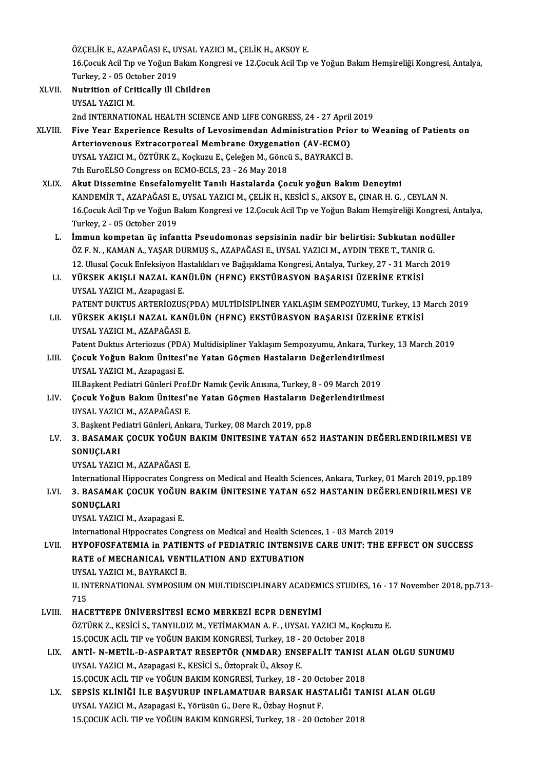ÖZÇELİK E., AZAPAĞASI E., UYSAL YAZICI M., ÇELİK H., AKSOY E.<br>16 Çamlt Asil Tın ve Yoğun Balam Konspesi ve 12 Çasuk Asil Tın

16.Çocuk Acil Tıp ve Yoğun Bakım Kongresi ve 12.Çocuk Acil Tıp ve Yoğun Bakım Hemşireliği Kongresi, Antalya, ÖZÇELİK E., AZAPAĞASI E., UT<br>16.Çocuk Acil Tıp ve Yoğun B<br>Turkey, 2 - 05 October 2019<br>Nutrition of Critically ill C Turkey, 2 - 05 October 2019

- XLVII. Nutrition of Critically ill Children<br>UYSAL YAZICI M. 2nd INTERNATIONAL HEALTH SCIENCE AND LIFE CONGRESS, 24 - 27 April 2019 UYSAL YAZICI M.<br>2nd INTERNATIONAL HEALTH SCIENCE AND LIFE CONGRESS, 24 - 27 April 2019<br>XLVIII. Five Year Experience Results of Levosimendan Administration Prior to Weaning of Patients on<br>Arteriovenews Extress proceed Membr
- 2nd INTERNATIONAL HEALTH SCIENCE AND LIFE CONGRESS, 24 27 April<br>Five Year Experience Results of Levosimendan Administration Prio<br>Arteriovenous Extracorporeal Membrane Oxygenation (AV-ECMO)<br>UVSAL VAZICLM, ÖZTÜRK 7, Kockur Five Year Experience Results of Levosimendan Administration Prio<br>Arteriovenous Extracorporeal Membrane Oxygenation (AV-ECMO)<br>UYSAL YAZICI M., ÖZTÜRK Z., Koçkuzu E., Çeleğen M., Göncü S., BAYRAKCİ B.<br><sup>7th Euro</sub>el SO Congres</sup> Arteriovenous Extracorporeal Membrane Oxygenation (AV-ECMO)<br>UYSAL YAZICI M., ÖZTÜRK Z., Koçkuzu E., Çeleğen M., Göncü S., BAYRAKCİ B.<br>7th EuroELSO Congress on ECMO-ECLS, 23 - 26 May 2018
- XLIX. Akut Dissemine Ensefalomyelit Tanılı Hastalarda Çocuk yoğun BakımDeneyimi KANDEMİRT.,AZAPAĞASIE.,UYSAL YAZICIM.,ÇELİKH.,KESİCİ S.,AKSOYE.,ÇINARH.G. ,CEYLANN. 16.Çocuk Acil Tıp ve Yoğun Bakım Kongresi ve 12.Çocuk Acil Tıp ve Yoğun Bakım Hemşireliği Kongresi, Antalya, Turkey, 2 - 05 October 2019
	- L. İmmun kompetan üç infantta Pseudomonas sepsisinin nadir bir belirtisi: Subkutan nodüller Turkey, 2 - 05 October 2019<br>İmmun kompetan üç infantta Pseudomonas sepsisinin nadir bir belirtisi: Subkutan nod<br>ÖZ F. N. , KAMAN A., YAŞAR DURMUŞ S., AZAPAĞASI E., UYSAL YAZICI M., AYDIN TEKE T., TANIR G.<br>12 Hlugal Cosul: İmmun kompetan üç infantta Pseudomonas sepsisinin nadir bir belirtisi: Subkutan nodülle:<br>ÖZ F. N. , KAMAN A., YAŞAR DURMUŞ S., AZAPAĞASI E., UYSAL YAZICI M., AYDIN TEKE T., TANIR G.<br>12. Ulusal Çocuk Enfeksiyon Hastalıkları ÖZ F. N. , KAMAN A., YAŞAR DURMUŞ S., AZAPAĞASI E., UYSAL YAZICI M., AYDIN TEKE T., TANIR<br>12. Ulusal Çocuk Enfeksiyon Hastalıkları ve Bağışıklama Kongresi, Antalya, Turkey, 27 - 31 Marcl<br>1. YÜKSEK AKIŞLI NAZAL KANÜLÜN (HFN
	- 12. Ulusal Çocuk Enfeksiyon Ha<br>YÜKSEK AKIŞLI NAZAL KAN<br>UYSAL YAZICI M., Azapagasi E.<br>PATENT DUKTUS ADTEDİQZUS YÜKSEK AKIŞLI NAZAL KANÜLÜN (HFNC) EKSTÜBASYON BAŞARISI ÜZERİNE ETKİSİ<br>UYSAL YAZICI M., Azapagasi E.<br>PATENT DUKTUS ARTERİOZUS(PDA) MULTİDİSİPLİNER YAKLAŞIM SEMPOZYUMU, Turkey, 13 March 2019<br>VÜKSEK AKISLI NAZAL KANÜLÜN (HEN UYSAL YAZICI M., Azapagasi E.<br>PATENT DUKTUS ARTERİOZUS(PDA) MULTİDİSİPLİNER YAKLAŞIM SEMPOZYUMU, Turkey, 13 I<br>LII. YÜKSEK AKIŞLI NAZAL KANÜLÜN (HFNC) EKSTÜBASYON BAŞARISI ÜZERİNE ETKİSİ<br>UYSAL YAZICI M., AZAPAĞASI E.
	- PATENT DUKTUS ARTERİOZUS(1<br>YÜKSEK AKIŞLI NAZAL KANİ<br>UYSAL YAZICI M., AZAPAĞASI E.<br>Patent Duktus Arteriozus (PDA) YÜKSEK AKIŞLI NAZAL KANÜLÜN (HFNC) EKSTÜBASYON BAŞARISI ÜZERİNE ETKİSİ<br>UYSAL YAZICI M., AZAPAĞASI E.<br>Patent Duktus Arteriozus (PDA) Multidisipliner Yaklaşım Sempozyumu, Ankara, Turkey, 13 March 2019<br>Cosuk Yoğun Bakım Ünite UYSAL YAZICI M., AZAPAĞASI E.<br>Patent Duktus Arteriozus (PDA) Multidisipliner Yaklaşım Sempozyumu, Ankara, Turk<br>LIII. Çocuk Yoğun Bakım Ünitesi'ne Yatan Göçmen Hastaların Değerlendirilmesi<br>UNSAL YAZICI M. Azapazasi E
- Patent Duktus Arteriozus (PDA<br>**Çocuk Yoğun Bakım Ünitesi**<br>UYSAL YAZICI M., Azapagasi E.<br>III Baskant Badiatri Cünləri Pre Çocuk Yoğun Bakım Ünitesi'ne Yatan Göçmen Hastaların Değerlendirilmesi<br>UYSAL YAZICI M., Azapagasi E.<br>III.Başkent Pediatri Günleri Prof.Dr Namık Çevik Anısına, Turkey, 8 - 09 March 2019<br>Cosuk Yoğun Bakım Ünitesi'ne Yatan Cö UYSAL YAZICI M., Azapagasi E.<br>III.Başkent Pediatri Günleri Prof.Dr Namık Çevik Anısına, Turkey, 8 - 09 March 2019<br>LIV. Çocuk Yoğun Bakım Ünitesi'ne Yatan Göçmen Hastaların Değerlendirilmesi<br>UYSAL YAZICI M., AZAPAĞASI E. III. Başkent Pediatri Günleri Prof. Dr Namık Çevik Anısına, Turkey, 8 - 09 March 2019
- Cocuk Yoğun Bakım Ünitesi'ne Yatan Göçmen Hastaların D<br>UYSAL YAZICI M., AZAPAĞASI E.<br>3. Başkent Pediatri Günleri, Ankara, Turkey, 08 March 2019, pp.8<br>2. BASAMAK COCUK YOĞUN BAKIM ÜNITESINE YATAN 65.

### UYSAL YAZICI M., AZAPAĞASI E.<br>3. Başkent Pediatri Günleri, Ankara, Turkey, 08 March 2019, pp.8<br>LV. 3. BASAMAK ÇOCUK YOĞUN BAKIM ÜNITESINE YATAN 652 HASTANIN DEĞERLENDIRILMESI VE<br>SONUCI API 3. Başkent Pe<br>3. BASAMAK<br>SONUÇLARI<br>UVSAL YAZIC 3. BASAMAK ÇOCUK YOĞUN I<br>SONUÇLARI<br>UYSAL YAZICI M., AZAPAĞASI E.<br>International Hinnesrates Consu SONUÇLARI<br>UYSAL YAZICI M., AZAPAĞASI E.<br>International Hippocrates Congress on Medical and Health Sciences, Ankara, Turkey, 01 March 2019, pp.189<br>2. BASAMAK COCUK YOČUN BAKIM ÜNITESINE YATAN 652 HASTANIN DEĞERI ENDIRU MESI

UYSAL YAZICI M., AZAPAĞASI E.<br>International Hippocrates Congress on Medical and Health Sciences, Ankara, Turkey, 01 March 2019, pp.189<br>LVI. 3. BASAMAK ÇOCUK YOĞUN BAKIM ÜNITESINE YATAN 652 HASTANIN DEĞERLENDIRILMESI VE SONUÇLARI<br>UYSAL YAZICI M., Azapagasi E. LVI. 3. BASAMAK ÇOCUK YOĞUN BAKIM ÜNITESINE YATAN 652 HASTANIN DEĞERLENDIRILMESI VE

International Hippocrates Congress on Medical and Health Sciences, 1 - 03 March 2019

UYSAL YAZICI M., Azapagasi E.<br>International Hippocrates Congress on Medical and Health Sciences, 1 - 03 March 2019<br>LVII. HYPOFOSFATEMIA in PATIENTS of PEDIATRIC INTENSIVE CARE UNIT: THE EFFECT ON SUCCESS International Hippocrates Congress on Medical and Health Scient<br>HYPOFOSFATEMIA in PATIENTS of PEDIATRIC INTENSIV<br>RATE of MECHANICAL VENTILATION AND EXTUBATION HYPOFOSFATEMIA in PATIE<br>RATE of MECHANICAL VENT<br>UYSAL YAZICI M., BAYRAKCİ B.<br>U INTERNATIONAL SYMPOSUD RATE of MECHANICAL VENTILATION AND EXTUBATION<br>UYSAL YAZICI M., BAYRAKCİ B.<br>II. INTERNATIONAL SYMPOSIUM ON MULTIDISCIPLINARY ACADEMICS STUDIES, 16 - 17 November 2018, pp.713-<br>715

UYSA<br>II. IN<br>715<br>HAC 715<br>LVIII. HACETTEPE ÜNİVERSİTESİ ECMO MERKEZİ ECPR DENEYİMİ

715<br>HACETTEPE ÜNİVERSİTESİ ECMO MERKEZİ ECPR DENEYİMİ<br>ÖZTÜRK Z., KESİCİ S., TANYILDIZ M., YETİMAKMAN A. F. , UYSAL YAZICI M., Koçkuzu E.<br>15 COCUK AÇİL TIR ve YOĞUN BAKIM KONGRESİ Turkey 19, 20 Ostaber 2018 HACETTEPE ÜNİVERSİTESİ ECMO MERKEZİ ECPR DENEYİMİ<br>ÖZTÜRK Z., KESİCİ S., TANYILDIZ M., YETİMAKMAN A. F. , UYSAL YAZICI M., Koçk<br>15.ÇOCUK ACİL TIP ve YOĞUN BAKIM KONGRESİ, Turkey, 18 - 20 October 2018<br>ANTİ -N METİL D. ASBART ÖZTÜRK Z., KESİCİ S., TANYILDIZ M., YETİMAKMAN A. F. , UYSAL YAZICI M., Koçkuzu E.<br>15.ÇOCUK ACİL TIP ve YOĞUN BAKIM KONGRESİ, Turkey, 18 - 20 October 2018<br>LIX. ANTİ- N-METİL-D-ASPARTAT RESEPTÖR (NMDAR) ENSEFALİT TANISI

- 15.ÇOCUK ACİL TIP ve YOĞUN BAKIM KONGRESİ, Turkey, 18 -<br>**ANTİ- N-METİL-D-ASPARTAT RESEPTÖR (NMDAR) ENS**<br>UYSAL YAZICI M., Azapagasi E., KESİCİ S., Öztoprak Ü., Aksoy E.<br>15 COCUK ACİL TIP ve YOĞUN BAKIM KONGRESİ Turkey, 19 ANTİ- N-METİL-D-ASPARTAT RESEPTÖR (NMDAR) ENSEFALİT TANISI .<br>UYSAL YAZICI M., Azapagasi E., KESİCİ S., Öztoprak Ü., Aksoy E.<br>15.ÇOCUK ACİL TIP ve YOĞUN BAKIM KONGRESİ, Turkey, 18 - 20 October 2018<br>SERSİS KI İNİĞİ İLE PASYU UYSAL YAZICI M., Azapagasi E., KESİCİ S., Öztoprak Ü., Aksoy E.<br>15.ÇOCUK ACİL TIP ve YOĞUN BAKIM KONGRESİ, Turkey, 18 - 20 October 2018<br>LX. SEPSİS KLİNİĞİ İLE BAŞVURUP INFLAMATUAR BARSAK HASTALIĞI TANISI ALAN OLGU
- 15.ÇOCUK ACİL TIP ve YOĞUN BAKIM KONGRESİ, Turkey, 18 20 October 2018<br>SEPSİS KLİNİĞİ İLE BAŞVURUP INFLAMATUAR BARSAK HASTALIĞI TA<br>UYSAL YAZICI M., Azapagasi E., Yörüsün G., Dere R., Özbay Hoşnut F.<br>15.ÇOCUK ACİL TIP ve Y SEPSİS KLİNİĞİ İLE BAŞVURUP INFLAMATUAR BARSAK HASTALIĞI TA<br>UYSAL YAZICI M., Azapagasi E., Yörüsün G., Dere R., Özbay Hoşnut F.<br>15.ÇOCUK ACİL TIP ve YOĞUN BAKIM KONGRESİ, Turkey, 18 - 20 October 2018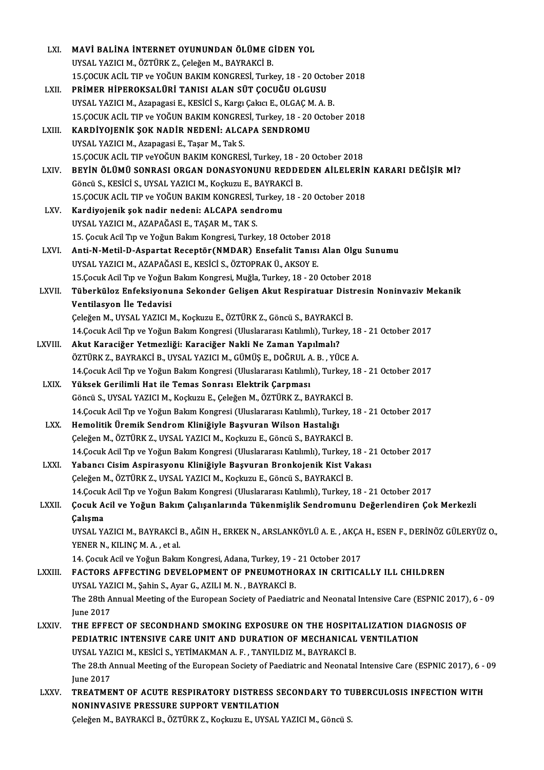| LXI.         | MAVİ BALİNA İNTERNET OYUNUNDAN ÖLÜME GİDEN YOL                                                                                              |
|--------------|---------------------------------------------------------------------------------------------------------------------------------------------|
|              | UYSAL YAZICI M., ÖZTÜRK Z., Çeleğen M., BAYRAKCİ B.                                                                                         |
|              | 15.ÇOCUK ACİL TIP ve YOĞUN BAKIM KONGRESİ, Turkey, 18 - 20 October 2018                                                                     |
| LXII.        | PRİMER HİPEROKSALÜRİ TANISI ALAN SÜT ÇOCUĞU OLGUSU                                                                                          |
|              | UYSAL YAZICI M., Azapagasi E., KESİCİ S., Kargı Çakıcı E., OLGAÇ M. A. B.                                                                   |
|              | 15.ÇOCUK ACİL TIP ve YOĞUN BAKIM KONGRESİ, Turkey, 18 - 20 October 2018                                                                     |
| LXIII.       | KARDİYOJENİK ŞOK NADİR NEDENİ: ALCAPA SENDROMU                                                                                              |
|              | UYSAL YAZICI M., Azapagasi E., Taşar M., Tak S.                                                                                             |
|              | 15.ÇOCUK ACİL TIP veYOĞUN BAKIM KONGRESİ, Turkey, 18 - 20 October 2018                                                                      |
| LXIV.        | BEYİN ÖLÜMÜ SONRASI ORGAN DONASYONUNU REDDEDEN AİLELERİN KARARI DEĞİŞİR Mİ?                                                                 |
|              | Göncü S., KESİCİ S., UYSAL YAZICI M., Koçkuzu E., BAYRAKCİ B.                                                                               |
|              | 15. ÇOCUK ACİL TIP ve YOĞUN BAKIM KONGRESİ, Turkey, 18 - 20 October 2018                                                                    |
| LXV.         | Kardiyojenik şok nadir nedeni: ALCAPA sendromu                                                                                              |
|              | UYSAL YAZICI M., AZAPAĞASI E., TAŞAR M., TAK S.                                                                                             |
|              | 15. Çocuk Acil Tıp ve Yoğun Bakım Kongresi, Turkey, 18 October 2018                                                                         |
| LXVI.        | Anti-N-Metil-D-Aspartat Receptör (NMDAR) Ensefalit Tanısı Alan Olgu Sunumu                                                                  |
|              | UYSAL YAZICI M., AZAPAĞASI E., KESİCİ S., ÖZTOPRAK Ü., AKSOY E.                                                                             |
|              | 15. Çocuk Acil Tıp ve Yoğun Bakım Kongresi, Muğla, Turkey, 18 - 20 October 2018                                                             |
| LXVII.       | Tüberküloz Enfeksiyonuna Sekonder Gelişen Akut Respiratuar Distresin Noninvaziv Mekanik                                                     |
|              | Ventilasyon İle Tedavisi                                                                                                                    |
|              | Çeleğen M., UYSAL YAZICI M., Koçkuzu E., ÖZTÜRK Z., Göncü S., BAYRAKCİ B.                                                                   |
|              |                                                                                                                                             |
| LXVIII.      | 14.Çocuk Acil Tıp ve Yoğun Bakım Kongresi (Uluslararası Katılımlı), Turkey, 18 - 21 October 2017                                            |
|              | Akut Karaciğer Yetmezliği: Karaciğer Nakli Ne Zaman Yapılmalı?<br>ÖZTÜRK Z., BAYRAKCİ B., UYSAL YAZICI M., GÜMÜŞ E., DOĞRUL A. B. , YÜCE A. |
|              | 14. Çocuk Acil Tıp ve Yoğun Bakım Kongresi (Uluslararası Katılımlı), Turkey, 18 - 21 October 2017                                           |
|              | Yüksek Gerilimli Hat ile Temas Sonrası Elektrik Çarpması                                                                                    |
| LXIX.        | Göncü S., UYSAL YAZICI M., Koçkuzu E., Çeleğen M., ÖZTÜRK Z., BAYRAKCİ B.                                                                   |
|              | 14. Çocuk Acil Tıp ve Yoğun Bakım Kongresi (Uluslararası Katılımlı), Turkey, 18 - 21 October 2017                                           |
|              | Hemolitik Üremik Sendrom Kliniğiyle Başvuran Wilson Hastalığı                                                                               |
| LXX —        |                                                                                                                                             |
|              | Çeleğen M., ÖZTÜRK Z., UYSAL YAZICI M., Koçkuzu E., Göncü S., BAYRAKCİ B.                                                                   |
|              | 14. Çocuk Acil Tıp ve Yoğun Bakım Kongresi (Uluslararası Katılımlı), Turkey, 18 - 21 October 2017                                           |
| <b>LXXI</b>  | Yabancı Cisim Aspirasyonu Kliniğiyle Başvuran Bronkojenik Kist Vakası                                                                       |
|              | Çeleğen M., ÖZTÜRK Z., UYSAL YAZICI M., Koçkuzu E., Göncü S., BAYRAKCİ B.                                                                   |
|              | 14.Çocuk Acil Tıp ve Yoğun Bakım Kongresi (Uluslararası Katılımlı), Turkey, 18 - 21 October 2017                                            |
| LXXII.       | Çocuk Acil ve Yoğun Bakım Çalışanlarında Tükenmişlik Sendromunu Değerlendiren Çok Merkezli                                                  |
|              | Çalışma                                                                                                                                     |
|              | UYSAL YAZICI M., BAYRAKCI B., AĞIN H., ERKEK N., ARSLANKÖYLÜ A. E., AKÇA H., ESEN F., DERİNÖZ GÜLERYÜZ O.,                                  |
|              | YENER N., KILINÇ M. A., et al.                                                                                                              |
|              | 14. Çocuk Acil ve Yoğun Bakım Kongresi, Adana, Turkey, 19 - 21 October 2017                                                                 |
| LXXIII.      | <b>FACTORS AFFECTING DEVELOPMENT OF PNEUMOTHORAX IN CRITICALLY ILL CHILDREN</b>                                                             |
|              | UYSAL YAZICI M., Şahin S., Ayar G., AZILI M. N., BAYRAKCİ B.                                                                                |
|              | The 28th Annual Meeting of the European Society of Paediatric and Neonatal Intensive Care (ESPNIC 2017), 6 - 09                             |
|              | <b>June 2017</b>                                                                                                                            |
| <b>LXXIV</b> | THE EFFECT OF SECONDHAND SMOKING EXPOSURE ON THE HOSPITALIZATION DIAGNOSIS OF                                                               |
|              | PEDIATRIC INTENSIVE CARE UNIT AND DURATION OF MECHANICAL VENTILATION                                                                        |
|              | UYSAL YAZICI M., KESİCİ S., YETİMAKMAN A. F., TANYILDIZ M., BAYRAKCİ B.                                                                     |
|              | The 28th Annual Meeting of the European Society of Paediatric and Neonatal Intensive Care (ESPNIC 2017), 6 - 09                             |
|              | <b>June 2017</b>                                                                                                                            |
| <b>LXXV</b>  | TREATMENT OF ACUTE RESPIRATORY DISTRESS SECONDARY TO TUBERCULOSIS INFECTION WITH                                                            |
|              | NONINVASIVE PRESSURE SUPPORT VENTILATION                                                                                                    |
|              | Çeleğen M., BAYRAKCİ B., ÖZTÜRK Z., Koçkuzu E., UYSAL YAZICI M., Göncü S.                                                                   |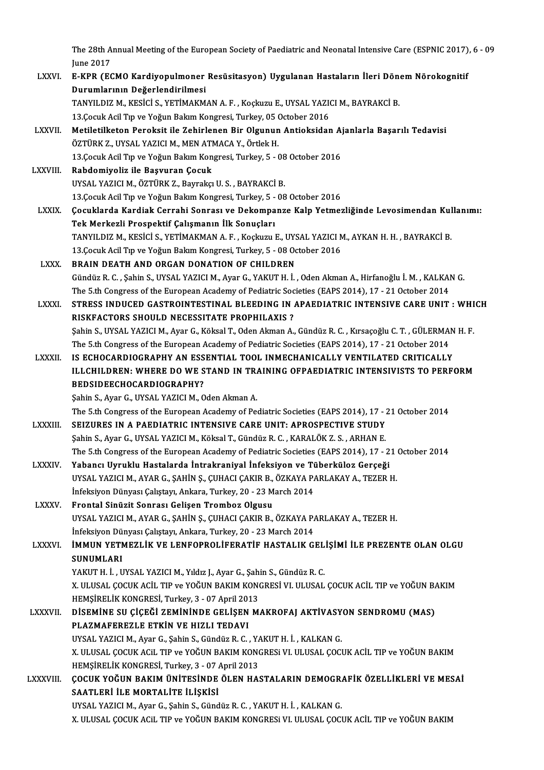The 28th Annual Meeting of the European Society of Paediatric and Neonatal Intensive Care (ESPNIC 2017), 6 - 09<br>Iune 2017 The 28th A<br>June 2017<br>E KPP (EG

The 28th Annual Meeting of the European Society of Paediatric and Neonatal Intensive Care (ESPNIC 2017)<br>June 2017<br>LXXVI. E-KPR (ECMO Kardiyopulmoner Resüsitasyon) Uygulanan Hastaların İleri Dönem Nörokognitif June 2017<br>LXXVI. E-KPR (ECMO Kardiyopulmoner Resüsitasyon) Uygulanan Hastaların İleri Dönem Nörokognitif<br>Durumlarının Değerlendirilmesi TANYILDIZ M., KESİCİ S., YETİMAKMAN A. F., Koçkuzu E., UYSAL YAZICI M., BAYRAKCİ B. Durumlarının Değerlendirilmesi<br>TANYILDIZ M., KESİCİ S., YETİMAKMAN A. F. , Koçkuzu E., UYSAL YAZI(<br>13.Çocuk Acil Tıp ve Yoğun Bakım Kongresi, Turkey, 05 October 2016<br>Metiletilketan Banaksit ile Zehirlanen Bir Olsunun Antia TANYILDIZ M., KESİCİ S., YETİMAKMAN A. F. , Koçkuzu E., UYSAL YAZICI M., BAYRAKCİ B.<br>13.Çocuk Acil Tıp ve Yoğun Bakım Kongresi, Turkey, 05 October 2016<br>LXXVII. Metiletilketon Peroksit ile Zehirlenen Bir Olgunun Antioksidan 13.Çocuk Acil Tıp ve Yoğun Bakım Kongresi, Turkey, 05 (<br>Metiletilketon Peroksit ile Zehirlenen Bir Olgunun<br>ÖZTÜRK Z., UYSAL YAZICI M., MEN ATMACA Y., Örtlek H.<br>13 Cosuk Asil Tıp ve Yoğun Balam Kongresi Turkey, 5 . ( Metiletilketon Peroksit ile Zehirlenen Bir Olgunun Antioksidan A<br>ÖZTÜRK Z., UYSAL YAZICI M., MEN ATMACA Y., Örtlek H.<br>13.Çocuk Acil Tıp ve Yoğun Bakım Kongresi, Turkey, 5 - 08 October 2016<br>Bahdamiyaliz ile Basyuran Casuk ÖZTÜRK Z., UYSAL YAZICI M., MEN ATMACA Y., Örtlek H.<br>13.Çocuk Acil Tıp ve Yoğun Bakım Kongresi, Turkey, 5 - 08<br>LXXVIII. Rabdomiyoliz ile Başvuran Çocuk<br>UYSAL YAZICI M., ÖZTÜRK Z., Bayrakçı U. S., BAYRAKCİ B. 13. Cocuk Acil Tip ve Yoğun Bakım Kongresi, Turkey, 5 - 08 October 2016 13. Çocuk Acil Tıp ve Yoğun Bakım Kongresi, Turkey, 5 - 08 October 2016 LXXIX. Çocuklarda Kardiak Cerrahi Sonrası ve Dekompanze Kalp Yetmezliğinde Levosimendan Kullanımı: TekMerkezli Prospektif Çalışmanın İlk Sonuçları Çocuklarda Kardiak Cerrahi Sonrası ve Dekompanze Kalp Yetmezliğinde Levosimendan Kul<br>Tek Merkezli Prospektif Çalışmanın İlk Sonuçları<br>TANYILDIZ M., KESİCİ S., YETİMAKMAN A. F. , Koçkuzu E., UYSAL YAZICI M., AYKAN H. H. , B Tek Merkezli Prospektif Çalışmanın İlk Sonuçları<br>TANYILDIZ M., KESİCİ S., YETİMAKMAN A. F. , Koçkuzu E., UYSAL YAZICI N<br>13.Çocuk Acil Tıp ve Yoğun Bakım Kongresi, Turkey, 5 - 08 October 2016<br>PRAIN DEATH AND ORCAN DONATION TANYILDIZ M., KESİCİ S., YETİMAKMAN A. F. , Koçkuzu E., UYS<br>13.Çocuk Acil Tıp ve Yoğun Bakım Kongresi, Turkey, 5 - 08 Oc<br>LXXX. BRAIN DEATH AND ORGAN DONATION OF CHILDREN<br>Cündüz B. C., Sobin S. UYSAL YAZICLM, Ayan C. YAKUT 13.Çocuk Acil Tıp ve Yoğun Bakım Kongresi, Turkey, 5 - 08 October 2016<br>BRAIN DEATH AND ORGAN DONATION OF CHILDREN<br>Gündüz R. C. , Şahin S., UYSAL YAZICI M., Ayar G., YAKUT H. İ. , Oden Akman A., Hirfanoğlu İ. M. , KALKAN G. BRAIN DEATH AND ORGAN DONATION OF CHILDREN<br>Gündüz R. C. , Şahin S., UYSAL YAZICI M., Ayar G., YAKUT H. İ. , Oden Akman A., Hirfanoğlu İ. M. , KALKAI<br>The 5.th Congress of the European Academy of Pediatric Societies (EAPS 20 Gündüz R. C. , Şahin S., UYSAL YAZICI M., Ayar G., YAKUT H. İ. , Oden Akman A., Hirfanoğlu İ. M. , KALKAN G.<br>The 5.th Congress of the European Academy of Pediatric Societies (EAPS 2014), 17 - 21 October 2014<br>LXXXI. STRESS The 5.th Congress of the European Academy of Pediatric Societies (EAPS 2014), 17 - 21 October 2014<br>STRESS INDUCED GASTROINTESTINAL BLEEDING IN APAEDIATRIC INTENSIVE CARE UNIT : WHI<br>RISKFACTORS SHOULD NECESSITATE PROPHILAXI STRESS INDUCED GASTROINTESTINAL BLEEDING IN APAEDIATRIC INTENSIVE CARE UNIT : WHI<br>RISKFACTORS SHOULD NECESSITATE PROPHILAXIS ?<br>Şahin S., UYSAL YAZICI M., Ayar G., Köksal T., Oden Akman A., Gündüz R. C. , Kırsaçoğlu C. T. , RISKFACTORS SHOULD NECESSITATE PROPHILAXIS ?<br>Şahin S., UYSAL YAZICI M., Ayar G., Köksal T., Oden Akman A., Gündüz R. C. , Kırsaçoğlu C. T. , GÜLERMAl<br>The 5.th Congress of the European Academy of Pediatric Societies (EAPS 2 Sahin S., UYSAL YAZICI M., Ayar G., Köksal T., Oden Akman A., Gündüz R. C. , Kırsaçoğlu C. T. , GÜLERMAN<br>The 5.th Congress of the European Academy of Pediatric Societies (EAPS 2014), 17 - 21 October 2014<br>LXXXII. IS ECHOCAR The 5.th Congress of the European Academy of Pediatric Societies (EAPS 2014), 17 - 21 October 2014<br>IS ECHOCARDIOGRAPHY AN ESSENTIAL TOOL INMECHANICALLY VENTILATED CRITICALLY<br>ILLCHILDREN: WHERE DO WE STAND IN TRAINING OFPAE **IS ECHOCARDIOGRAPHY AN ESS<br>ILLCHILDREN: WHERE DO WE S<br>BEDSIDEECHOCARDIOGRAPHY?**<br>Sabin S. Awar C. UYSAL YAZICI M. O ILLCHILDREN: WHERE DO WE STAND IN TRAINING OFPAEDIATRIC INTENSIVISTS TO PERFORM<br>BEDSIDEECHOCARDIOGRAPHY?<br>Sahin S., Ayar G., UYSAL YAZICI M., Oden Akman A. The 5.th Congress of the European Academy of Pediatric Societies (EAPS 2014), 17 - 21 October 2014 Sahin S., Ayar G., UYSAL YAZICI M., Oden Akman A.<br>The 5.th Congress of the European Academy of Pediatric Societies (EAPS 2014), 17 - 2<br>LXXXIII. SEIZURES IN A PAEDIATRIC INTENSIVE CARE UNIT: APROSPECTIVE STUDY<br>Sobin S. Aran The 5.th Congress of the European Academy of Pediatric Societies (EAPS 2014), 17 - 3<br>SEIZURES IN A PAEDIATRIC INTENSIVE CARE UNIT: APROSPECTIVE STUDY<br>Şahin S., Ayar G., UYSAL YAZICI M., Köksal T., Gündüz R. C. , KARALÖK Z. SEIZURES IN A PAEDIATRIC INTENSIVE CARE UNIT: APROSPECTIVE STUDY<br>Şahin S., Ayar G., UYSAL YAZICI M., Köksal T., Gündüz R. C. , KARALÖK Z. S. , ARHAN E.<br>The 5.th Congress of the European Academy of Pediatric Societies (EAPS Şahin S., Ayar G., UYSAL YAZICI M., Köksal T., Gündüz R. C. , KARALÖK Z. S. , ARHAN E.<br>The 5.th Congress of the European Academy of Pediatric Societies (EAPS 2014), 17 - 2<br>LXXXIV. Yabancı Uyruklu Hastalarda İntrakraniyal İ The 5.th Congress of the European Academy of Pediatric Societies (EAPS 2014), 17 - 21<br>Yabancı Uyruklu Hastalarda İntrakraniyal İnfeksiyon ve Tüberküloz Gerçeği<br>UYSAL YAZICI M., AYAR G., ŞAHİN Ş., ÇUHACI ÇAKIR B., ÖZKAYA PA Yabancı Uyruklu Hastalarda İntrakraniyal İnfeksiyon ve Tü<br>UYSAL YAZICI M., AYAR G., ŞAHİN Ş., ÇUHACI ÇAKIR B., ÖZKAYA P.<br>İnfeksiyon Dünyası Çalıştayı, Ankara, Turkey, 20 - 23 March 2014<br>Frantal Sinürit Sannası Çalisan Tram UYSAL YAZICI M., AYAR G., ŞAHİN Ş., ÇUHACI ÇAKIR B.,<br>İnfeksiyon Dünyası Çalıştayı, Ankara, Turkey, 20 - 23 M<br>LXXXV. Frontal Sinüzit Sonrası Gelişen Tromboz Olgusu İnfeksiyon Dünyası Çalıştayı, Ankara, Turkey, 20 - 23 March 2014<br>Frontal Sinüzit Sonrası Gelişen Tromboz Olgusu<br>UYSAL YAZICI M., AYAR G., ŞAHİN Ş., ÇUHACI ÇAKIR B., ÖZKAYA PARLAKAY A., TEZER H.<br>İnfeksiyon Dünyası Cekstayı, Frontal Sinüzit Sonrası Gelişen Tromboz Olgusu<br>UYSAL YAZICI M., AYAR G., ŞAHİN Ş., ÇUHACI ÇAKIR B., ÖZKAYA P.<br>İnfeksiyon Dünyası Çalıştayı, Ankara, Turkey, 20 - 23 March 2014<br>İMMUN YETMEZI İK VE I ENEOPPOLİEEPATİE HASTALIK UYSAL YAZICI M., AYAR G., ŞAHİN Ş., ÇUHACI ÇAKIR B., ÖZKAYA PARLAKAY A., TEZER H.<br>İnfeksiyon Dünyası Çalıştayı, Ankara, Turkey, 20 - 23 March 2014<br>LXXXVI. İMMUN YETMEZLİK VE LENFOPROLİFERATİF HASTALIK GELİŞİMİ İLE PREZENTE İnfeksiyon Dü<br>İMMUN YETI<br>SUNUMLARI<br>YAKITH İ İMMUN YETMEZLİK VE LENFOPROLİFERATİF HASTALIK GEL<br>SUNUMLARI<br>YAKUT H. İ. , UYSAL YAZICI M., Yıldız J., Ayar G., Şahin S., Gündüz R. C.<br>Y. III USAL COCUY ACİL TIP ve YOČUN RAKIM KONCRESI VI JII USAL SUNUMLARI<br>YAKUT H. İ. , UYSAL YAZICI M., Yıldız J., Ayar G., Şahin S., Gündüz R. C.<br>X. ULUSAL ÇOCUK ACİL TIP ve YOĞUN BAKIM KONGRESİ VI. ULUSAL ÇOCUK ACİL TIP ve YOĞUN BAKIM<br>HEMSİRELİK KONCRESİ Turkov. 3., 97 April 2012 YAKUT H. İ. , UYSAL YAZICI M., Yıldız J., Ayar G., Şahi<br>X. ULUSAL ÇOCUK ACİL TIP ve YOĞUN BAKIM KONO<br>HEMŞİRELİK KONGRESİ, Turkey, 3 - 07 April 2013<br>DİSEMİNE SIL ÇİÇEĞİ ZEMİNİNDE ÇELİSEN M X. ULUSAL ÇOCUK ACİL TIP ve YOĞUN BAKIM KONGRESİ VI. ULUSAL ÇOCUK ACİL TIP ve YOĞUN BA<br>HEMŞİRELİK KONGRESİ, Turkey, 3 - 07 April 2013<br>LXXXVII. DİSEMİNE SU ÇİÇEĞİ ZEMİNİNDE GELİŞEN MAKROFAJ AKTİVASYON SENDROMU (MAS) HEMŞİRELİK KONGRESİ, Turkey, 3 - 07 April 20:<br>DİSEMİNE SU ÇİÇEĞİ ZEMİNİNDE GELİŞEN<br>PLAZMAFEREZLE ETKİN VE HIZLI TEDAVI<br>UYSAL YAZICI M. Ayar G. Sabin S. Gündüz B. G DİSEMİNE SU ÇİÇEĞİ ZEMİNİNDE GELİŞEN MAKROFAJ AKTİVASY<br>PLAZMAFEREZLE ETKİN VE HIZLI TEDAVI<br>UYSAL YAZICI M., Ayar G., Şahin S., Gündüz R. C. , YAKUT H. İ. , KALKAN G.<br>Y. IILISAL COCIV ACIL TIR ve YOĞUN BAKIM KONCRESI VI JU PLAZMAFEREZLE ETKİN VE HIZLI TEDAVI<br>UYSAL YAZICI M., Ayar G., Şahin S., Gündüz R. C. , YAKUT H. İ. , KALKAN G.<br>X. ULUSAL ÇOCUK ACiL TIP ve YOĞUN BAKIM KONGRESi VI. ULUSAL ÇOCUK ACİL TIP ve YOĞUN BAKIM<br>HEMSİRELİK KONCRESİ T UYSAL YAZICI M., Ayar G., Şahin S., Gündüz R. C. , YA<br>X. ULUSAL ÇOCUK ACiL TIP ve YOĞUN BAKIM KONG<br>HEMŞİRELİK KONGRESİ, Turkey, 3 - 07 April 2013<br>COCUK YOĞUN BAKIM ÜNİTESİNDE ÖLEN HAS X. ULUSAL ÇOCUK ACIL TIP ve YOĞUN BAKIM KONGRESI VI. ULUSAL ÇOCUK ACIL TIP ve YOĞUN BAKIM<br>HEMŞİRELİK KONGRESİ, Turkey, 3 - 07 April 2013<br>LXXXVIII. ÇOCUK YOĞUN BAKIM ÜNİTESİNDE ÖLEN HASTALARIN DEMOGRAFİK ÖZELLİKLERİ VE HEMŞİRELİK KONGRESİ, Turkey, 3 - 07 April 2013<br>ÇOCUK YOĞUN BAKIM ÜNİTESİNDE ÖLEN HASTALARIN DEMOGRI<br>SAATLERİ İLE MORTALİTE İLİŞKİSİ<br>UYSAL YAZICI M., Ayar G., Şahin S., Gündüz R. C. , YAKUT H. İ. , KALKAN G. LXXXVIII. COCUK YOĞUN BAKIM ÜNİTESİNDE ÖLEN HASTALARIN DEMOGRAFİK ÖZELLİKLERİ VE MESAİ X. ULUSAL ÇOCUK ACIL TIP ve YOĞUN BAKIM KONGRESI VI. ULUSAL ÇOCUK ACİL TIP ve YOĞUN BAKIM